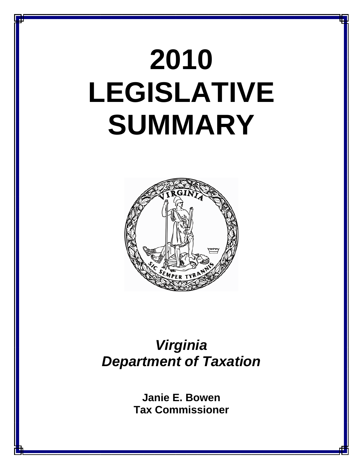# **2010 LEGISLATIVE SUMMARY**



## *Virginia Department of Taxation*

**Janie E. Bowen Tax Commissioner**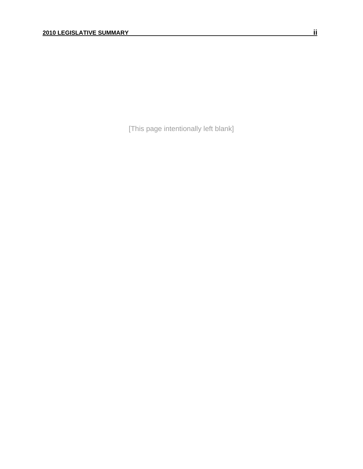[This page intentionally left blank]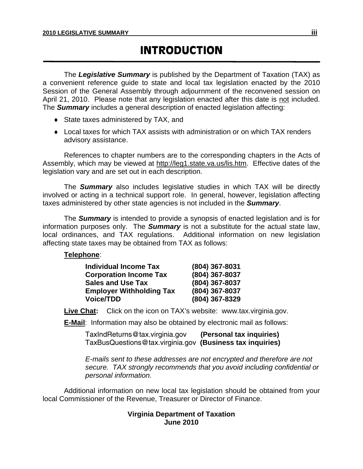## **INTRODUCTION**

The *Legislative Summary* is published by the Department of Taxation (TAX) as a convenient reference guide to state and local tax legislation enacted by the 2010 Session of the General Assembly through adjournment of the reconvened session on April 21, 2010. Please note that any legislation enacted after this date is not included. The *Summary* includes a general description of enacted legislation affecting:

- ♦ State taxes administered by TAX, and
- ♦ Local taxes for which TAX assists with administration or on which TAX renders advisory assistance.

References to chapter numbers are to the corresponding chapters in the Acts of Assembly, which may be viewed at http://leg1.state.va.us/lis.htm. Effective dates of the legislation vary and are set out in each description.

The *Summary* also includes legislative studies in which TAX will be directly involved or acting in a technical support role. In general, however, legislation affecting taxes administered by other state agencies is not included in the *Summary*.

The *Summary* is intended to provide a synopsis of enacted legislation and is for information purposes only. The *Summary* is not a substitute for the actual state law, local ordinances, and TAX regulations. Additional information on new legislation affecting state taxes may be obtained from TAX as follows:

#### **Telephone**:

| <b>Individual Income Tax</b>    | (804) 367-8031 |
|---------------------------------|----------------|
| <b>Corporation Income Tax</b>   | (804) 367-8037 |
| <b>Sales and Use Tax</b>        | (804) 367-8037 |
| <b>Employer Withholding Tax</b> | (804) 367-8037 |
| <b>Voice/TDD</b>                | (804) 367-8329 |

**Live Chat:** Click on the icon on TAX's website: www.tax.virginia.gov.

**E-Mail**: Information may also be obtained by electronic mail as follows:

| TaxIndReturns@tax.virginia.gov                            | (Personal tax inquiries) |
|-----------------------------------------------------------|--------------------------|
| TaxBusQuestions@tax.virginia.gov (Business tax inquiries) |                          |

*E-mails sent to these addresses are not encrypted and therefore are not secure. TAX strongly recommends that you avoid including confidential or personal information.*

Additional information on new local tax legislation should be obtained from your local Commissioner of the Revenue, Treasurer or Director of Finance.

#### **Virginia Department of Taxation June 2010**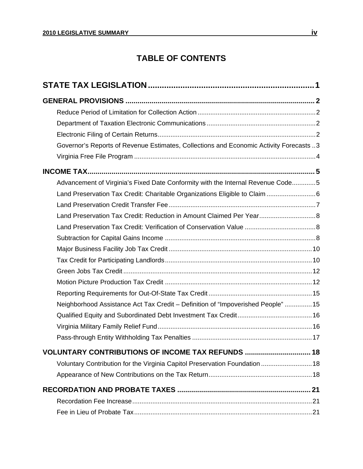## **TABLE OF CONTENTS**

| Governor's Reports of Revenue Estimates, Collections and Economic Activity Forecasts 3 |  |
|----------------------------------------------------------------------------------------|--|
|                                                                                        |  |
|                                                                                        |  |
| Advancement of Virginia's Fixed Date Conformity with the Internal Revenue Code5        |  |
| Land Preservation Tax Credit: Charitable Organizations Eligible to Claim  6            |  |
|                                                                                        |  |
| Land Preservation Tax Credit: Reduction in Amount Claimed Per Year 8                   |  |
|                                                                                        |  |
|                                                                                        |  |
|                                                                                        |  |
|                                                                                        |  |
|                                                                                        |  |
|                                                                                        |  |
|                                                                                        |  |
| Neighborhood Assistance Act Tax Credit - Definition of "Impoverished People"  15       |  |
|                                                                                        |  |
|                                                                                        |  |
|                                                                                        |  |
| <b>VOLUNTARY CONTRIBUTIONS OF INCOME TAX REFUNDS  18</b>                               |  |
| Voluntary Contribution for the Virginia Capitol Preservation Foundation  18            |  |
|                                                                                        |  |
|                                                                                        |  |
|                                                                                        |  |
|                                                                                        |  |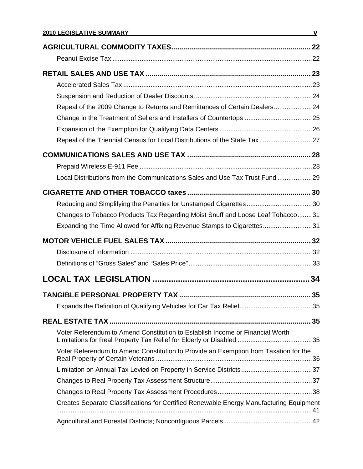| Repeal of the 2009 Change to Returns and Remittances of Certain Dealers24               |    |
|-----------------------------------------------------------------------------------------|----|
|                                                                                         |    |
|                                                                                         |    |
|                                                                                         |    |
|                                                                                         |    |
|                                                                                         |    |
| Local Distributions from the Communications Sales and Use Tax Trust Fund 29             |    |
|                                                                                         |    |
|                                                                                         |    |
| Changes to Tobacco Products Tax Regarding Moist Snuff and Loose Leaf Tobacco31          |    |
| Expanding the Time Allowed for Affixing Revenue Stamps to Cigarettes31                  |    |
|                                                                                         |    |
|                                                                                         |    |
|                                                                                         |    |
|                                                                                         |    |
|                                                                                         |    |
|                                                                                         |    |
|                                                                                         | 35 |
|                                                                                         |    |
| Voter Referendum to Amend Constitution to Establish Income or Financial Worth           | 35 |
| Voter Referendum to Amend Constitution to Provide an Exemption from Taxation for the    |    |
|                                                                                         |    |
|                                                                                         |    |
|                                                                                         |    |
| Creates Separate Classifications for Certified Renewable Energy Manufacturing Equipment |    |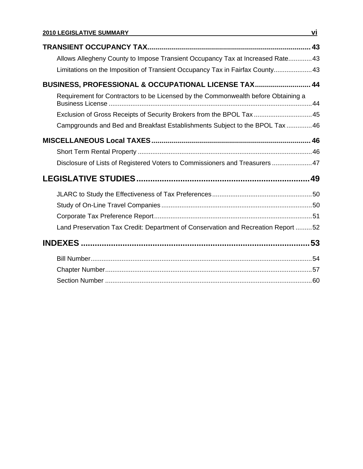| Allows Allegheny County to Impose Transient Occupancy Tax at Increased Rate43     |  |
|-----------------------------------------------------------------------------------|--|
| Limitations on the Imposition of Transient Occupancy Tax in Fairfax County43      |  |
| BUSINESS, PROFESSIONAL & OCCUPATIONAL LICENSE TAX 44                              |  |
| Requirement for Contractors to be Licensed by the Commonwealth before Obtaining a |  |
| Exclusion of Gross Receipts of Security Brokers from the BPOL Tax 45              |  |
| Campgrounds and Bed and Breakfast Establishments Subject to the BPOL Tax  46      |  |
|                                                                                   |  |
|                                                                                   |  |
| Disclosure of Lists of Registered Voters to Commissioners and Treasurers 47       |  |
|                                                                                   |  |
|                                                                                   |  |
|                                                                                   |  |
|                                                                                   |  |
| Land Preservation Tax Credit: Department of Conservation and Recreation Report 52 |  |
|                                                                                   |  |
|                                                                                   |  |
|                                                                                   |  |
|                                                                                   |  |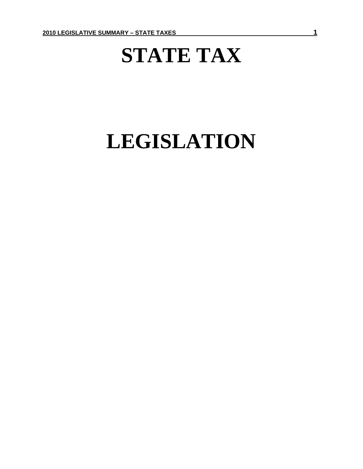## <span id="page-6-0"></span>**STATE TAX**

## **LEGISLATION**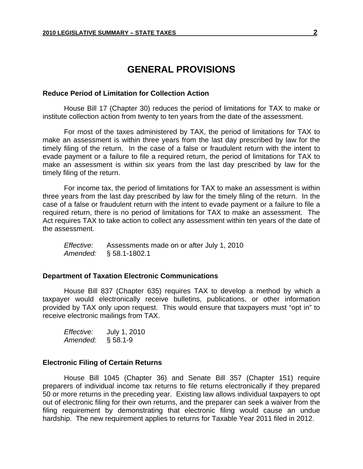### **GENERAL PROVISIONS**

#### <span id="page-7-0"></span>**Reduce Period of Limitation for Collection Action**

House Bill 17 (Chapter 30) reduces the period of limitations for TAX to make or institute collection action from twenty to ten years from the date of the assessment.

For most of the taxes administered by TAX, the period of limitations for TAX to make an assessment is within three years from the last day prescribed by law for the timely filing of the return. In the case of a false or fraudulent return with the intent to evade payment or a failure to file a required return, the period of limitations for TAX to make an assessment is within six years from the last day prescribed by law for the timely filing of the return.

For income tax, the period of limitations for TAX to make an assessment is within three years from the last day prescribed by law for the timely filing of the return. In the case of a false or fraudulent return with the intent to evade payment or a failure to file a required return, there is no period of limitations for TAX to make an assessment. The Act requires TAX to take action to collect any assessment within ten years of the date of the assessment.

*Effective:* Assessments made on or after July 1, 2010 *Amended:* § 58.1-1802.1

#### **Department of Taxation Electronic Communications**

House Bill 837 (Chapter 635) requires TAX to develop a method by which a taxpayer would electronically receive bulletins, publications, or other information provided by TAX only upon request. This would ensure that taxpayers must "opt in" to receive electronic mailings from TAX.

*Effective:* July 1, 2010 *Amended:* § 58.1-9

#### **Electronic Filing of Certain Returns**

House Bill 1045 (Chapter 36) and Senate Bill 357 (Chapter 151) require preparers of individual income tax returns to file returns electronically if they prepared 50 or more returns in the preceding year. Existing law allows individual taxpayers to opt out of electronic filing for their own returns, and the preparer can seek a waiver from the filing requirement by demonstrating that electronic filing would cause an undue hardship. The new requirement applies to returns for Taxable Year 2011 filed in 2012.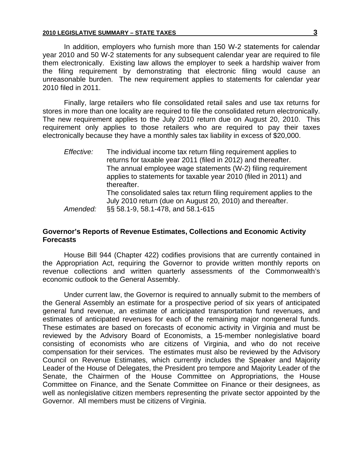#### <span id="page-8-0"></span>**2010 LEGISLATIVE SUMMARY – STATE TAXES 3**

In addition, employers who furnish more than 150 W-2 statements for calendar year 2010 and 50 W-2 statements for any subsequent calendar year are required to file them electronically. Existing law allows the employer to seek a hardship waiver from the filing requirement by demonstrating that electronic filing would cause an unreasonable burden. The new requirement applies to statements for calendar year 2010 filed in 2011.

Finally, large retailers who file consolidated retail sales and use tax returns for stores in more than one locality are required to file the consolidated return electronically. The new requirement applies to the July 2010 return due on August 20, 2010. This requirement only applies to those retailers who are required to pay their taxes electronically because they have a monthly sales tax liability in excess of \$20,000.

#### **Governor's Reports of Revenue Estimates, Collections and Economic Activity Forecasts**

House Bill 944 (Chapter 422) codifies provisions that are currently contained in the Appropriation Act, requiring the Governor to provide written monthly reports on revenue collections and written quarterly assessments of the Commonwealth's economic outlook to the General Assembly.

Under current law, the Governor is required to annually submit to the members of the General Assembly an estimate for a prospective period of six years of anticipated general fund revenue, an estimate of anticipated transportation fund revenues, and estimates of anticipated revenues for each of the remaining major nongeneral funds. These estimates are based on forecasts of economic activity in Virginia and must be reviewed by the Advisory Board of Economists, a 15-member nonlegislative board consisting of economists who are citizens of Virginia, and who do not receive compensation for their services. The estimates must also be reviewed by the Advisory Council on Revenue Estimates, which currently includes the Speaker and Majority Leader of the House of Delegates, the President pro tempore and Majority Leader of the Senate, the Chairmen of the House Committee on Appropriations, the House Committee on Finance, and the Senate Committee on Finance or their designees, as well as nonlegislative citizen members representing the private sector appointed by the Governor. All members must be citizens of Virginia.

*Effective:* The individual income tax return filing requirement applies to returns for taxable year 2011 (filed in 2012) and thereafter. The annual employee wage statements (W-2) filing requirement applies to statements for taxable year 2010 (filed in 2011) and thereafter. The consolidated sales tax return filing requirement applies to the July 2010 return (due on August 20, 2010) and thereafter. *Amended:* §§ 58.1-9, 58.1-478, and 58.1-615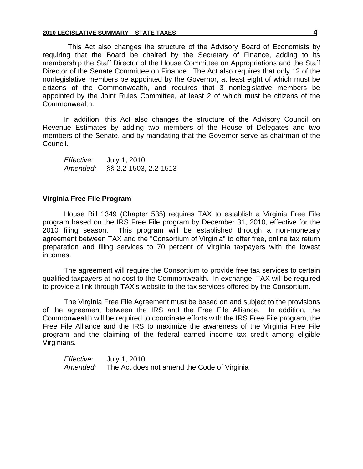#### <span id="page-9-0"></span>**2010 LEGISLATIVE SUMMARY – STATE TAXES 4**

 This Act also changes the structure of the Advisory Board of Economists by requiring that the Board be chaired by the Secretary of Finance, adding to its membership the Staff Director of the House Committee on Appropriations and the Staff Director of the Senate Committee on Finance. The Act also requires that only 12 of the nonlegislative members be appointed by the Governor, at least eight of which must be citizens of the Commonwealth, and requires that 3 nonlegislative members be appointed by the Joint Rules Committee, at least 2 of which must be citizens of the Commonwealth.

In addition, this Act also changes the structure of the Advisory Council on Revenue Estimates by adding two members of the House of Delegates and two members of the Senate, and by mandating that the Governor serve as chairman of the Council.

*Effective:* July 1, 2010 *Amended:* §§ 2.2-1503, 2.2-1513

#### **Virginia Free File Program**

House Bill 1349 (Chapter 535) requires TAX to establish a Virginia Free File program based on the IRS Free File program by December 31, 2010, effective for the 2010 filing season. This program will be established through a non-monetary agreement between TAX and the "Consortium of Virginia" to offer free, online tax return preparation and filing services to 70 percent of Virginia taxpayers with the lowest incomes.

The agreement will require the Consortium to provide free tax services to certain qualified taxpayers at no cost to the Commonwealth. In exchange, TAX will be required to provide a link through TAX's website to the tax services offered by the Consortium.

The Virginia Free File Agreement must be based on and subject to the provisions of the agreement between the IRS and the Free File Alliance. In addition, the Commonwealth will be required to coordinate efforts with the IRS Free File program, the Free File Alliance and the IRS to maximize the awareness of the Virginia Free File program and the claiming of the federal earned income tax credit among eligible Virginians.

*Effective:* July 1, 2010 *Amended:* The Act does not amend the Code of Virginia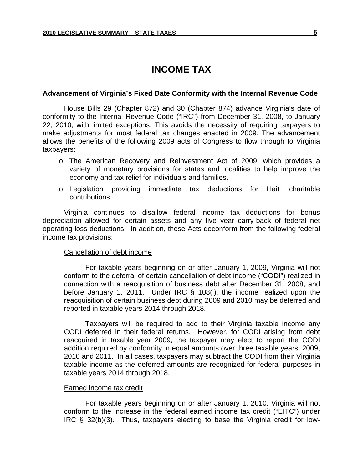### **INCOME TAX**

#### <span id="page-10-0"></span>**Advancement of Virginia's Fixed Date Conformity with the Internal Revenue Code**

House Bills 29 (Chapter 872) and 30 (Chapter 874) advance Virginia's date of conformity to the Internal Revenue Code ("IRC") from December 31, 2008, to January 22, 2010, with limited exceptions. This avoids the necessity of requiring taxpayers to make adjustments for most federal tax changes enacted in 2009. The advancement allows the benefits of the following 2009 acts of Congress to flow through to Virginia taxpayers:

- o The American Recovery and Reinvestment Act of 2009, which provides a variety of monetary provisions for states and localities to help improve the economy and tax relief for individuals and families.
- o Legislation providing immediate tax deductions for Haiti charitable contributions.

Virginia continues to disallow federal income tax deductions for bonus depreciation allowed for certain assets and any five year carry-back of federal net operating loss deductions. In addition, these Acts deconform from the following federal income tax provisions:

#### Cancellation of debt income

For taxable years beginning on or after January 1, 2009, Virginia will not conform to the deferral of certain cancellation of debt income ("CODI") realized in connection with a reacquisition of business debt after December 31, 2008, and before January 1, 2011. Under IRC § 108(i), the income realized upon the reacquisition of certain business debt during 2009 and 2010 may be deferred and reported in taxable years 2014 through 2018.

Taxpayers will be required to add to their Virginia taxable income any CODI deferred in their federal returns. However, for CODI arising from debt reacquired in taxable year 2009, the taxpayer may elect to report the CODI addition required by conformity in equal amounts over three taxable years: 2009, 2010 and 2011. In all cases, taxpayers may subtract the CODI from their Virginia taxable income as the deferred amounts are recognized for federal purposes in taxable years 2014 through 2018.

#### Earned income tax credit

For taxable years beginning on or after January 1, 2010, Virginia will not conform to the increase in the federal earned income tax credit ("EITC") under IRC § 32(b)(3). Thus, taxpayers electing to base the Virginia credit for low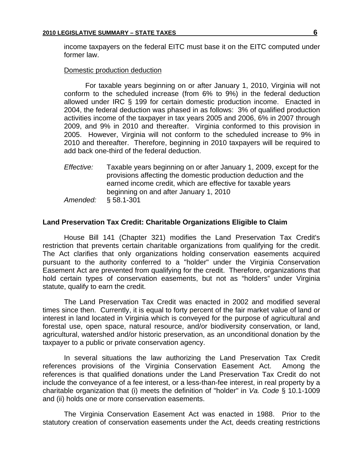<span id="page-11-0"></span>income taxpayers on the federal EITC must base it on the EITC computed under former law.

#### Domestic production deduction

For taxable years beginning on or after January 1, 2010, Virginia will not conform to the scheduled increase (from 6% to 9%) in the federal deduction allowed under IRC § 199 for certain domestic production income. Enacted in 2004, the federal deduction was phased in as follows: 3% of qualified production activities income of the taxpayer in tax years 2005 and 2006, 6% in 2007 through 2009, and 9% in 2010 and thereafter. Virginia conformed to this provision in 2005. However, Virginia will not conform to the scheduled increase to 9% in 2010 and thereafter. Therefore, beginning in 2010 taxpayers will be required to add back one-third of the federal deduction.

*Effective:* Taxable years beginning on or after January 1, 2009, except for the provisions affecting the domestic production deduction and the earned income credit, which are effective for taxable years beginning on and after January 1, 2010 *Amended:* § 58.1-301

#### **Land Preservation Tax Credit: Charitable Organizations Eligible to Claim**

House Bill 141 (Chapter 321) modifies the Land Preservation Tax Credit's restriction that prevents certain charitable organizations from qualifying for the credit. The Act clarifies that only organizations holding conservation easements acquired pursuant to the authority conferred to a "holder" under the Virginia Conservation Easement Act are prevented from qualifying for the credit. Therefore, organizations that hold certain types of conservation easements, but not as "holders" under Virginia statute, qualify to earn the credit.

The Land Preservation Tax Credit was enacted in 2002 and modified several times since then. Currently, it is equal to forty percent of the fair market value of land or interest in land located in Virginia which is conveyed for the purpose of agricultural and forestal use, open space, natural resource, and/or biodiversity conservation, or land, agricultural, watershed and/or historic preservation, as an unconditional donation by the taxpayer to a public or private conservation agency.

In several situations the law authorizing the Land Preservation Tax Credit references provisions of the Virginia Conservation Easement Act. Among the references is that qualified donations under the Land Preservation Tax Credit do not include the conveyance of a fee interest, or a less-than-fee interest, in real property by a charitable organization that (i) meets the definition of "holder" in *Va. Code* § 10.1-1009 and (ii) holds one or more conservation easements.

The Virginia Conservation Easement Act was enacted in 1988. Prior to the statutory creation of conservation easements under the Act, deeds creating restrictions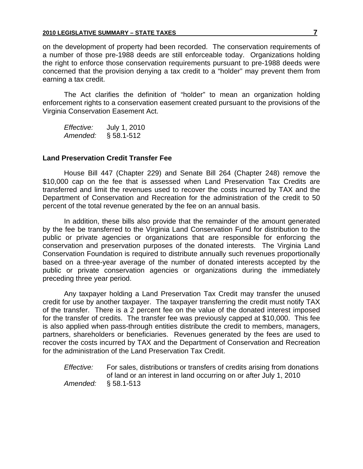#### <span id="page-12-0"></span>**2010 LEGISLATIVE SUMMARY – STATE TAXES 7**

on the development of property had been recorded. The conservation requirements of a number of those pre-1988 deeds are still enforceable today. Organizations holding the right to enforce those conservation requirements pursuant to pre-1988 deeds were concerned that the provision denying a tax credit to a "holder" may prevent them from earning a tax credit.

The Act clarifies the definition of "holder" to mean an organization holding enforcement rights to a conservation easement created pursuant to the provisions of the Virginia Conservation Easement Act.

*Effective:* July 1, 2010 *Amended:* § 58.1-512

#### **Land Preservation Credit Transfer Fee**

House Bill 447 (Chapter 229) and Senate Bill 264 (Chapter 248) remove the \$10,000 cap on the fee that is assessed when Land Preservation Tax Credits are transferred and limit the revenues used to recover the costs incurred by TAX and the Department of Conservation and Recreation for the administration of the credit to 50 percent of the total revenue generated by the fee on an annual basis.

In addition, these bills also provide that the remainder of the amount generated by the fee be transferred to the Virginia Land Conservation Fund for distribution to the public or private agencies or organizations that are responsible for enforcing the conservation and preservation purposes of the donated interests. The Virginia Land Conservation Foundation is required to distribute annually such revenues proportionally based on a three-year average of the number of donated interests accepted by the public or private conservation agencies or organizations during the immediately preceding three year period.

Any taxpayer holding a Land Preservation Tax Credit may transfer the unused credit for use by another taxpayer. The taxpayer transferring the credit must notify TAX of the transfer. There is a 2 percent fee on the value of the donated interest imposed for the transfer of credits. The transfer fee was previously capped at \$10,000. This fee is also applied when pass-through entities distribute the credit to members, managers, partners, shareholders or beneficiaries. Revenues generated by the fees are used to recover the costs incurred by TAX and the Department of Conservation and Recreation for the administration of the Land Preservation Tax Credit.

*Effective:* For sales, distributions or transfers of credits arising from donations of land or an interest in land occurring on or after July 1, 2010 *Amended:* § 58.1-513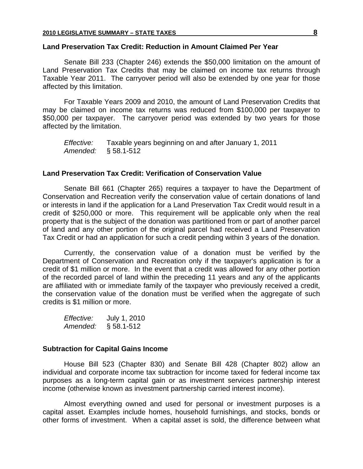#### <span id="page-13-0"></span>**Land Preservation Tax Credit: Reduction in Amount Claimed Per Year**

Senate Bill 233 (Chapter 246) extends the \$50,000 limitation on the amount of Land Preservation Tax Credits that may be claimed on income tax returns through Taxable Year 2011. The carryover period will also be extended by one year for those affected by this limitation.

For Taxable Years 2009 and 2010, the amount of Land Preservation Credits that may be claimed on income tax returns was reduced from \$100,000 per taxpayer to \$50,000 per taxpayer. The carryover period was extended by two years for those affected by the limitation.

*Effective:* Taxable years beginning on and after January 1, 2011 *Amended:* § 58.1-512

#### **Land Preservation Tax Credit: Verification of Conservation Value**

Senate Bill 661 (Chapter 265) requires a taxpayer to have the Department of Conservation and Recreation verify the conservation value of certain donations of land or interests in land if the application for a Land Preservation Tax Credit would result in a credit of \$250,000 or more. This requirement will be applicable only when the real property that is the subject of the donation was partitioned from or part of another parcel of land and any other portion of the original parcel had received a Land Preservation Tax Credit or had an application for such a credit pending within 3 years of the donation.

Currently, the conservation value of a donation must be verified by the Department of Conservation and Recreation only if the taxpayer's application is for a credit of \$1 million or more. In the event that a credit was allowed for any other portion of the recorded parcel of land within the preceding 11 years and any of the applicants are affiliated with or immediate family of the taxpayer who previously received a credit, the conservation value of the donation must be verified when the aggregate of such credits is \$1 million or more.

| Effective: | July 1, 2010   |
|------------|----------------|
| Amended:   | $§ 58.1 - 512$ |

#### **Subtraction for Capital Gains Income**

House Bill 523 (Chapter 830) and Senate Bill 428 (Chapter 802) allow an individual and corporate income tax subtraction for income taxed for federal income tax purposes as a long-term capital gain or as investment services partnership interest income (otherwise known as investment partnership carried interest income).

Almost everything owned and used for personal or investment purposes is a capital asset. Examples include homes, household furnishings, and stocks, bonds or other forms of investment. When a capital asset is sold, the difference between what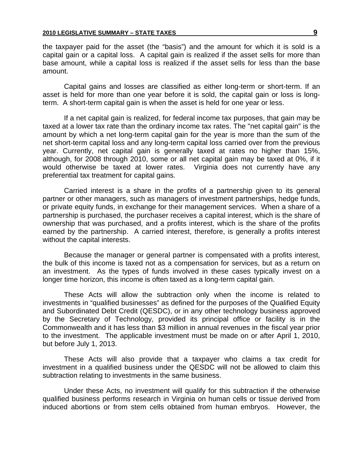the taxpayer paid for the asset (the "basis") and the amount for which it is sold is a capital gain or a capital loss. A capital gain is realized if the asset sells for more than base amount, while a capital loss is realized if the asset sells for less than the base amount.

Capital gains and losses are classified as either long-term or short-term. If an asset is held for more than one year before it is sold, the capital gain or loss is longterm. A short-term capital gain is when the asset is held for one year or less.

If a net capital gain is realized, for federal income tax purposes, that gain may be taxed at a lower tax rate than the ordinary income tax rates. The "net capital gain" is the amount by which a net long-term capital gain for the year is more than the sum of the net short-term capital loss and any long-term capital loss carried over from the previous year. Currently, net capital gain is generally taxed at rates no higher than 15%, although, for 2008 through 2010, some or all net capital gain may be taxed at 0%, if it would otherwise be taxed at lower rates. Virginia does not currently have any preferential tax treatment for capital gains.

Carried interest is a share in the profits of a partnership given to its general partner or other managers, such as managers of investment partnerships, hedge funds, or private equity funds, in exchange for their management services. When a share of a partnership is purchased, the purchaser receives a capital interest, which is the share of ownership that was purchased, and a profits interest, which is the share of the profits earned by the partnership. A carried interest, therefore, is generally a profits interest without the capital interests.

Because the manager or general partner is compensated with a profits interest, the bulk of this income is taxed not as a compensation for services, but as a return on an investment. As the types of funds involved in these cases typically invest on a longer time horizon, this income is often taxed as a long-term capital gain.

These Acts will allow the subtraction only when the income is related to investments in "qualified businesses" as defined for the purposes of the Qualified Equity and Subordinated Debt Credit (QESDC), or in any other technology business approved by the Secretary of Technology, provided its principal office or facility is in the Commonwealth and it has less than \$3 million in annual revenues in the fiscal year prior to the investment. The applicable investment must be made on or after April 1, 2010, but before July 1, 2013.

These Acts will also provide that a taxpayer who claims a tax credit for investment in a qualified business under the QESDC will not be allowed to claim this subtraction relating to investments in the same business.

Under these Acts, no investment will qualify for this subtraction if the otherwise qualified business performs research in Virginia on human cells or tissue derived from induced abortions or from stem cells obtained from human embryos. However, the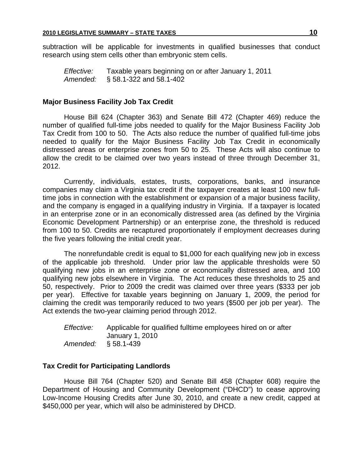<span id="page-15-0"></span>subtraction will be applicable for investments in qualified businesses that conduct research using stem cells other than embryonic stem cells.

*Effective:* Taxable years beginning on or after January 1, 2011 *Amended:* § 58.1-322 and 58.1-402

#### **Major Business Facility Job Tax Credit**

House Bill 624 (Chapter 363) and Senate Bill 472 (Chapter 469) reduce the number of qualified full-time jobs needed to qualify for the Major Business Facility Job Tax Credit from 100 to 50. The Acts also reduce the number of qualified full-time jobs needed to qualify for the Major Business Facility Job Tax Credit in economically distressed areas or enterprise zones from 50 to 25. These Acts will also continue to allow the credit to be claimed over two years instead of three through December 31, 2012.

Currently, individuals, estates, trusts, corporations, banks, and insurance companies may claim a Virginia tax credit if the taxpayer creates at least 100 new fulltime jobs in connection with the establishment or expansion of a major business facility, and the company is engaged in a qualifying industry in Virginia. If a taxpayer is located in an enterprise zone or in an economically distressed area (as defined by the Virginia Economic Development Partnership) or an enterprise zone, the threshold is reduced from 100 to 50. Credits are recaptured proportionately if employment decreases during the five years following the initial credit year.

The nonrefundable credit is equal to \$1,000 for each qualifying new job in excess of the applicable job threshold. Under prior law the applicable thresholds were 50 qualifying new jobs in an enterprise zone or economically distressed area, and 100 qualifying new jobs elsewhere in Virginia. The Act reduces these thresholds to 25 and 50, respectively. Prior to 2009 the credit was claimed over three years (\$333 per job per year). Effective for taxable years beginning on January 1, 2009, the period for claiming the credit was temporarily reduced to two years (\$500 per job per year). The Act extends the two-year claiming period through 2012.

*Effective:* Applicable for qualified fulltime employees hired on or after January 1, 2010 *Amended:* § 58.1-439

#### **Tax Credit for Participating Landlords**

House Bill 764 (Chapter 520) and Senate Bill 458 (Chapter 608) require the Department of Housing and Community Development ("DHCD") to cease approving Low-Income Housing Credits after June 30, 2010, and create a new credit, capped at \$450,000 per year, which will also be administered by DHCD.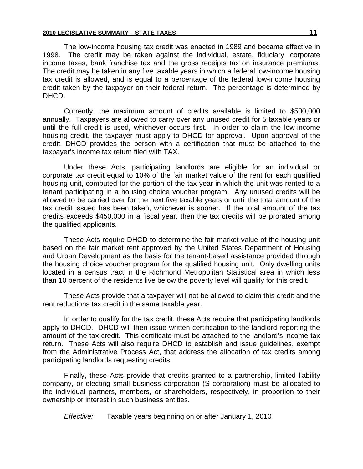The low-income housing tax credit was enacted in 1989 and became effective in 1998. The credit may be taken against the individual, estate, fiduciary, corporate income taxes, bank franchise tax and the gross receipts tax on insurance premiums. The credit may be taken in any five taxable years in which a federal low-income housing tax credit is allowed, and is equal to a percentage of the federal low-income housing credit taken by the taxpayer on their federal return. The percentage is determined by DHCD.

Currently, the maximum amount of credits available is limited to \$500,000 annually. Taxpayers are allowed to carry over any unused credit for 5 taxable years or until the full credit is used, whichever occurs first. In order to claim the low-income housing credit, the taxpayer must apply to DHCD for approval. Upon approval of the credit, DHCD provides the person with a certification that must be attached to the taxpayer's income tax return filed with TAX.

Under these Acts, participating landlords are eligible for an individual or corporate tax credit equal to 10% of the fair market value of the rent for each qualified housing unit, computed for the portion of the tax year in which the unit was rented to a tenant participating in a housing choice voucher program. Any unused credits will be allowed to be carried over for the next five taxable years or until the total amount of the tax credit issued has been taken, whichever is sooner. If the total amount of the tax credits exceeds \$450,000 in a fiscal year, then the tax credits will be prorated among the qualified applicants.

These Acts require DHCD to determine the fair market value of the housing unit based on the fair market rent approved by the United States Department of Housing and Urban Development as the basis for the tenant-based assistance provided through the housing choice voucher program for the qualified housing unit. Only dwelling units located in a census tract in the Richmond Metropolitan Statistical area in which less than 10 percent of the residents live below the poverty level will qualify for this credit.

These Acts provide that a taxpayer will not be allowed to claim this credit and the rent reductions tax credit in the same taxable year.

In order to qualify for the tax credit, these Acts require that participating landlords apply to DHCD. DHCD will then issue written certification to the landlord reporting the amount of the tax credit. This certificate must be attached to the landlord's income tax return. These Acts will also require DHCD to establish and issue guidelines, exempt from the Administrative Process Act, that address the allocation of tax credits among participating landlords requesting credits.

Finally, these Acts provide that credits granted to a partnership, limited liability company, or electing small business corporation (S corporation) must be allocated to the individual partners, members, or shareholders, respectively, in proportion to their ownership or interest in such business entities.

*Effective:* Taxable years beginning on or after January 1, 2010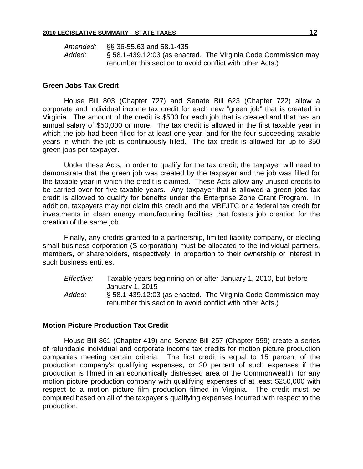<span id="page-17-0"></span>*Amended:* §§ 36-55.63 and 58.1-435 *Added:* § 58.1-439.12:03 (as enacted. The Virginia Code Commission may renumber this section to avoid conflict with other Acts.)

#### **Green Jobs Tax Credit**

House Bill 803 (Chapter 727) and Senate Bill 623 (Chapter 722) allow a corporate and individual income tax credit for each new "green job" that is created in Virginia. The amount of the credit is \$500 for each job that is created and that has an annual salary of \$50,000 or more. The tax credit is allowed in the first taxable year in which the job had been filled for at least one year, and for the four succeeding taxable years in which the job is continuously filled. The tax credit is allowed for up to 350 green jobs per taxpayer.

Under these Acts, in order to qualify for the tax credit, the taxpayer will need to demonstrate that the green job was created by the taxpayer and the job was filled for the taxable year in which the credit is claimed. These Acts allow any unused credits to be carried over for five taxable years. Any taxpayer that is allowed a green jobs tax credit is allowed to qualify for benefits under the Enterprise Zone Grant Program. In addition, taxpayers may not claim this credit and the MBFJTC or a federal tax credit for investments in clean energy manufacturing facilities that fosters job creation for the creation of the same job.

Finally, any credits granted to a partnership, limited liability company, or electing small business corporation (S corporation) must be allocated to the individual partners, members, or shareholders, respectively, in proportion to their ownership or interest in such business entities.

*Effective:* Taxable years beginning on or after January 1, 2010, but before January 1, 2015 *Added:* § 58.1-439.12:03 (as enacted. The Virginia Code Commission may renumber this section to avoid conflict with other Acts.)

#### **Motion Picture Production Tax Credit**

House Bill 861 (Chapter 419) and Senate Bill 257 (Chapter 599) create a series of refundable individual and corporate income tax credits for motion picture production companies meeting certain criteria. The first credit is equal to 15 percent of the production company's qualifying expenses, or 20 percent of such expenses if the production is filmed in an economically distressed area of the Commonwealth, for any motion picture production company with qualifying expenses of at least \$250,000 with respect to a motion picture film production filmed in Virginia. The credit must be computed based on all of the taxpayer's qualifying expenses incurred with respect to the production.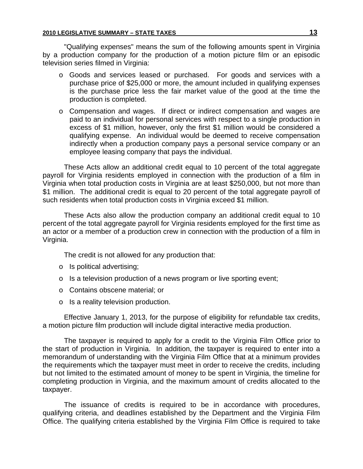"Qualifying expenses" means the sum of the following amounts spent in Virginia by a production company for the production of a motion picture film or an episodic television series filmed in Virginia:

- o Goods and services leased or purchased. For goods and services with a purchase price of \$25,000 or more, the amount included in qualifying expenses is the purchase price less the fair market value of the good at the time the production is completed.
- o Compensation and wages. If direct or indirect compensation and wages are paid to an individual for personal services with respect to a single production in excess of \$1 million, however, only the first \$1 million would be considered a qualifying expense. An individual would be deemed to receive compensation indirectly when a production company pays a personal service company or an employee leasing company that pays the individual.

These Acts allow an additional credit equal to 10 percent of the total aggregate payroll for Virginia residents employed in connection with the production of a film in Virginia when total production costs in Virginia are at least \$250,000, but not more than \$1 million. The additional credit is equal to 20 percent of the total aggregate payroll of such residents when total production costs in Virginia exceed \$1 million.

These Acts also allow the production company an additional credit equal to 10 percent of the total aggregate payroll for Virginia residents employed for the first time as an actor or a member of a production crew in connection with the production of a film in Virginia.

The credit is not allowed for any production that:

- o Is political advertising;
- o Is a television production of a news program or live sporting event;
- o Contains obscene material; or
- o Is a reality television production.

Effective January 1, 2013, for the purpose of eligibility for refundable tax credits, a motion picture film production will include digital interactive media production.

The taxpayer is required to apply for a credit to the Virginia Film Office prior to the start of production in Virginia. In addition, the taxpayer is required to enter into a memorandum of understanding with the Virginia Film Office that at a minimum provides the requirements which the taxpayer must meet in order to receive the credits, including but not limited to the estimated amount of money to be spent in Virginia, the timeline for completing production in Virginia, and the maximum amount of credits allocated to the taxpayer.

The issuance of credits is required to be in accordance with procedures, qualifying criteria, and deadlines established by the Department and the Virginia Film Office. The qualifying criteria established by the Virginia Film Office is required to take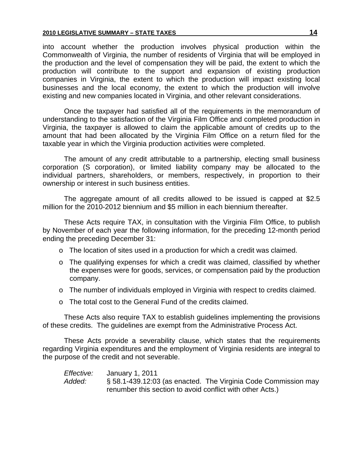into account whether the production involves physical production within the Commonwealth of Virginia, the number of residents of Virginia that will be employed in the production and the level of compensation they will be paid, the extent to which the production will contribute to the support and expansion of existing production companies in Virginia, the extent to which the production will impact existing local businesses and the local economy, the extent to which the production will involve existing and new companies located in Virginia, and other relevant considerations.

Once the taxpayer had satisfied all of the requirements in the memorandum of understanding to the satisfaction of the Virginia Film Office and completed production in Virginia, the taxpayer is allowed to claim the applicable amount of credits up to the amount that had been allocated by the Virginia Film Office on a return filed for the taxable year in which the Virginia production activities were completed.

The amount of any credit attributable to a partnership, electing small business corporation (S corporation), or limited liability company may be allocated to the individual partners, shareholders, or members, respectively, in proportion to their ownership or interest in such business entities.

The aggregate amount of all credits allowed to be issued is capped at \$2.5 million for the 2010-2012 biennium and \$5 million in each biennium thereafter.

These Acts require TAX, in consultation with the Virginia Film Office, to publish by November of each year the following information, for the preceding 12-month period ending the preceding December 31:

- o The location of sites used in a production for which a credit was claimed.
- o The qualifying expenses for which a credit was claimed, classified by whether the expenses were for goods, services, or compensation paid by the production company.
- o The number of individuals employed in Virginia with respect to credits claimed.
- o The total cost to the General Fund of the credits claimed.

These Acts also require TAX to establish guidelines implementing the provisions of these credits. The guidelines are exempt from the Administrative Process Act.

These Acts provide a severability clause, which states that the requirements regarding Virginia expenditures and the employment of Virginia residents are integral to the purpose of the credit and not severable.

| <i>Effective:</i> | January 1, 2011                                                |
|-------------------|----------------------------------------------------------------|
| Added:            | § 58.1-439.12:03 (as enacted. The Virginia Code Commission may |
|                   | renumber this section to avoid conflict with other Acts.)      |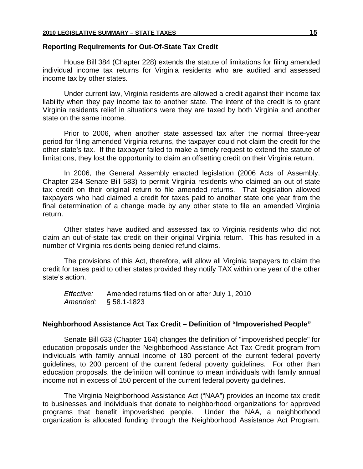#### <span id="page-20-0"></span>**Reporting Requirements for Out-Of-State Tax Credit**

House Bill 384 (Chapter 228) extends the statute of limitations for filing amended individual income tax returns for Virginia residents who are audited and assessed income tax by other states.

Under current law, Virginia residents are allowed a credit against their income tax liability when they pay income tax to another state. The intent of the credit is to grant Virginia residents relief in situations were they are taxed by both Virginia and another state on the same income.

Prior to 2006, when another state assessed tax after the normal three-year period for filing amended Virginia returns, the taxpayer could not claim the credit for the other state's tax. If the taxpayer failed to make a timely request to extend the statute of limitations, they lost the opportunity to claim an offsetting credit on their Virginia return.

In 2006, the General Assembly enacted legislation (2006 Acts of Assembly, Chapter 234 Senate Bill 583) to permit Virginia residents who claimed an out-of-state tax credit on their original return to file amended returns. That legislation allowed taxpayers who had claimed a credit for taxes paid to another state one year from the final determination of a change made by any other state to file an amended Virginia return.

Other states have audited and assessed tax to Virginia residents who did not claim an out-of-state tax credit on their original Virginia return. This has resulted in a number of Virginia residents being denied refund claims.

The provisions of this Act, therefore, will allow all Virginia taxpayers to claim the credit for taxes paid to other states provided they notify TAX within one year of the other state's action.

*Effective:* Amended returns filed on or after July 1, 2010 *Amended:* § 58.1-1823

#### **Neighborhood Assistance Act Tax Credit – Definition of "Impoverished People"**

Senate Bill 633 (Chapter 164) changes the definition of "impoverished people" for education proposals under the Neighborhood Assistance Act Tax Credit program from individuals with family annual income of 180 percent of the current federal poverty guidelines, to 200 percent of the current federal poverty guidelines. For other than education proposals, the definition will continue to mean individuals with family annual income not in excess of 150 percent of the current federal poverty guidelines.

The Virginia Neighborhood Assistance Act ("NAA") provides an income tax credit to businesses and individuals that donate to neighborhood organizations for approved programs that benefit impoverished people. Under the NAA, a neighborhood organization is allocated funding through the Neighborhood Assistance Act Program.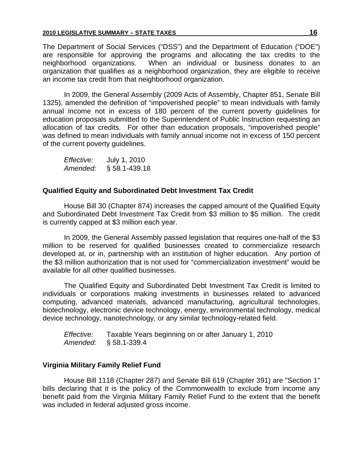#### <span id="page-21-0"></span>**2010 LEGISLATIVE SUMMARY – STATE TAXES 16**

The Department of Social Services ("DSS") and the Department of Education ("DOE") are responsible for approving the programs and allocating the tax credits to the neighborhood organizations. When an individual or business donates to an organization that qualifies as a neighborhood organization, they are eligible to receive an income tax credit from that neighborhood organization.

In 2009, the General Assembly (2009 Acts of Assembly, Chapter 851, Senate Bill 1325), amended the definition of "impoverished people" to mean individuals with family annual income not in excess of 180 percent of the current poverty guidelines for education proposals submitted to the Superintendent of Public Instruction requesting an allocation of tax credits. For other than education proposals, "impoverished people" was defined to mean individuals with family annual income not in excess of 150 percent of the current poverty guidelines.

| Effective: | July 1, 2010      |
|------------|-------------------|
| Amended:   | $§ 58.1 - 439.18$ |

#### **Qualified Equity and Subordinated Debt Investment Tax Credit**

House Bill 30 (Chapter 874) increases the capped amount of the Qualified Equity and Subordinated Debt Investment Tax Credit from \$3 million to \$5 million. The credit is currently capped at \$3 million each year.

In 2009, the General Assembly passed legislation that requires one-half of the \$3 million to be reserved for qualified businesses created to commercialize research developed at, or in, partnership with an institution of higher education. Any portion of the \$3 million authorization that is not used for "commercialization investment" would be available for all other qualified businesses.

The Qualified Equity and Subordinated Debt Investment Tax Credit is limited to individuals or corporations making investments in businesses related to advanced computing, advanced materials, advanced manufacturing, agricultural technologies, biotechnology, electronic device technology, energy, environmental technology, medical device technology, nanotechnology, or any similar technology-related field.

*Effective:* Taxable Years beginning on or after January 1, 2010 *Amended:* § 58.1-339.4

#### **Virginia Military Family Relief Fund**

House Bill 1118 (Chapter 287) and Senate Bill 619 (Chapter 391) are "Section 1" bills declaring that it is the policy of the Commonwealth to exclude from income any benefit paid from the Virginia Military Family Relief Fund to the extent that the benefit was included in federal adjusted gross income.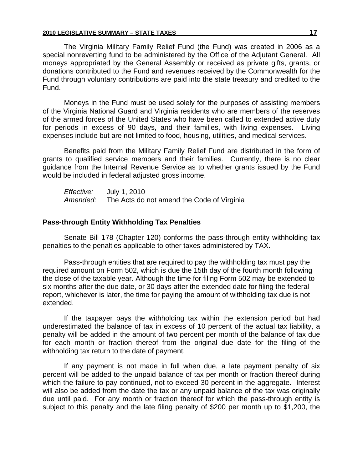#### <span id="page-22-0"></span>**2010 LEGISLATIVE SUMMARY – STATE TAXES** 17

The Virginia Military Family Relief Fund (the Fund) was created in 2006 as a special nonreverting fund to be administered by the Office of the Adjutant General. All moneys appropriated by the General Assembly or received as private gifts, grants, or donations contributed to the Fund and revenues received by the Commonwealth for the Fund through voluntary contributions are paid into the state treasury and credited to the Fund.

Moneys in the Fund must be used solely for the purposes of assisting members of the Virginia National Guard and Virginia residents who are members of the reserves of the armed forces of the United States who have been called to extended active duty for periods in excess of 90 days, and their families, with living expenses. Living expenses include but are not limited to food, housing, utilities, and medical services.

Benefits paid from the Military Family Relief Fund are distributed in the form of grants to qualified service members and their families. Currently, there is no clear guidance from the Internal Revenue Service as to whether grants issued by the Fund would be included in federal adjusted gross income.

*Effective:* July 1, 2010 *Amended:* The Acts do not amend the Code of Virginia

#### **Pass-through Entity Withholding Tax Penalties**

Senate Bill 178 (Chapter 120) conforms the pass-through entity withholding tax penalties to the penalties applicable to other taxes administered by TAX.

Pass-through entities that are required to pay the withholding tax must pay the required amount on Form 502, which is due the 15th day of the fourth month following the close of the taxable year. Although the time for filing Form 502 may be extended to six months after the due date, or 30 days after the extended date for filing the federal report, whichever is later, the time for paying the amount of withholding tax due is not extended.

If the taxpayer pays the withholding tax within the extension period but had underestimated the balance of tax in excess of 10 percent of the actual tax liability, a penalty will be added in the amount of two percent per month of the balance of tax due for each month or fraction thereof from the original due date for the filing of the withholding tax return to the date of payment.

If any payment is not made in full when due, a late payment penalty of six percent will be added to the unpaid balance of tax per month or fraction thereof during which the failure to pay continued, not to exceed 30 percent in the aggregate. Interest will also be added from the date the tax or any unpaid balance of the tax was originally due until paid. For any month or fraction thereof for which the pass-through entity is subject to this penalty and the late filing penalty of \$200 per month up to \$1,200, the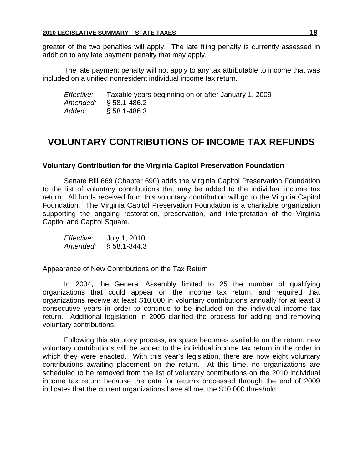<span id="page-23-0"></span>greater of the two penalties will apply. The late filing penalty is currently assessed in addition to any late payment penalty that may apply.

The late payment penalty will not apply to any tax attributable to income that was included on a unified nonresident individual income tax return.

| <i>Effective:</i> | Taxable years beginning on or after January 1, 2009 |
|-------------------|-----------------------------------------------------|
|                   | Amended: § 58.1-486.2                               |
| Added:            | $\S$ 58.1-486.3                                     |

## **VOLUNTARY CONTRIBUTIONS OF INCOME TAX REFUNDS**

#### **Voluntary Contribution for the Virginia Capitol Preservation Foundation**

Senate Bill 669 (Chapter 690) adds the Virginia Capitol Preservation Foundation to the list of voluntary contributions that may be added to the individual income tax return. All funds received from this voluntary contribution will go to the Virginia Capitol Foundation. The Virginia Capitol Preservation Foundation is a charitable organization supporting the ongoing restoration, preservation, and interpretation of the Virginia Capitol and Capitol Square.

*Effective:* July 1, 2010 *Amended:* § 58.1-344.3

#### Appearance of New Contributions on the Tax Return

In 2004, the General Assembly limited to 25 the number of qualifying organizations that could appear on the income tax return, and required that organizations receive at least \$10,000 in voluntary contributions annually for at least 3 consecutive years in order to continue to be included on the individual income tax return. Additional legislation in 2005 clarified the process for adding and removing voluntary contributions.

Following this statutory process, as space becomes available on the return, new voluntary contributions will be added to the individual income tax return in the order in which they were enacted. With this year's legislation, there are now eight voluntary contributions awaiting placement on the return. At this time, no organizations are scheduled to be removed from the list of voluntary contributions on the 2010 individual income tax return because the data for returns processed through the end of 2009 indicates that the current organizations have all met the \$10,000 threshold.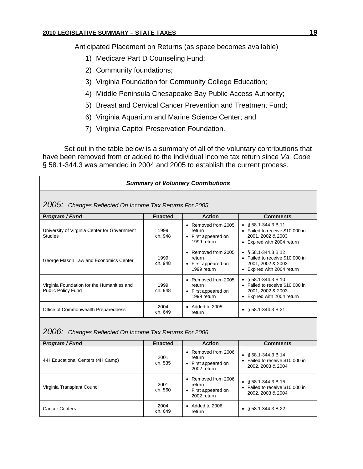#### Anticipated Placement on Returns (as space becomes available)

- 1) Medicare Part D Counseling Fund;
- 2) Community foundations;
- 3) Virginia Foundation for Community College Education;
- 4) Middle Peninsula Chesapeake Bay Public Access Authority;
- 5) Breast and Cervical Cancer Prevention and Treatment Fund;
- 6) Virginia Aquarium and Marine Science Center; and
- 7) Virginia Capitol Preservation Foundation.

Set out in the table below is a summary of all of the voluntary contributions that have been removed from or added to the individual income tax return since *Va. Code* § 58.1-344.3 was amended in 2004 and 2005 to establish the current process.

| <b>Summary of Voluntary Contributions</b>                        |                 |                                                                     |                                                                                                             |
|------------------------------------------------------------------|-----------------|---------------------------------------------------------------------|-------------------------------------------------------------------------------------------------------------|
| 2005: Changes Reflected On Income Tax Returns For 2005           |                 |                                                                     |                                                                                                             |
| Program / Fund                                                   | <b>Enacted</b>  | <b>Action</b>                                                       | <b>Comments</b>                                                                                             |
| University of Virginia Center for Government<br><b>Studies</b>   | 1999<br>ch. 948 | Removed from 2005<br>return<br>• First appeared on<br>1999 return   | • $§$ 58.1-344.3 B 11<br>• Failed to receive \$10,000 in<br>2001, 2002 & 2003<br>• Expired with 2004 return |
| George Mason Law and Economics Center                            | 1999<br>ch. 948 | • Removed from 2005<br>return<br>• First appeared on<br>1999 return | • $§$ 58.1-344.3 B 12<br>• Failed to receive \$10,000 in<br>2001, 2002 & 2003<br>• Expired with 2004 return |
| Virginia Foundation for the Humanities and<br>Public Policy Fund | 1999<br>ch. 948 | • Removed from 2005<br>return<br>• First appeared on<br>1999 return | • $$58.1 - 344.3 B10$<br>• Failed to receive \$10,000 in<br>2001, 2002 & 2003<br>• Expired with 2004 return |
| Office of Commonwealth Preparedness                              | 2004<br>ch. 649 | $\bullet$ Added to 2005<br>return                                   | • $$58.1 - 344.3 B21$                                                                                       |

*2006: Changes Reflected On Income Tax Returns For 2006*

| Program / Fund                    | <b>Enacted</b>  | <b>Action</b>                                                       | <b>Comments</b>                                                                         |  |
|-----------------------------------|-----------------|---------------------------------------------------------------------|-----------------------------------------------------------------------------------------|--|
| 4-H Educational Centers (4H Camp) | 2001<br>ch. 535 | • Removed from 2006<br>return<br>• First appeared on<br>2002 return | • $$58.1 - 344.3 \text{ B } 14$<br>• Failed to receive \$10,000 in<br>2002, 2003 & 2004 |  |
| Virginia Transplant Council       | 2001<br>ch. 560 | • Removed from 2006<br>return<br>• First appeared on<br>2002 return | • $§$ 58.1-344.3 B 15<br>• Failed to receive \$10,000 in<br>2002, 2003 & 2004           |  |
| <b>Cancer Centers</b>             | 2004<br>ch. 649 | • Added to $2006$<br>return                                         | • $$58.1 - 344.3 B 22$                                                                  |  |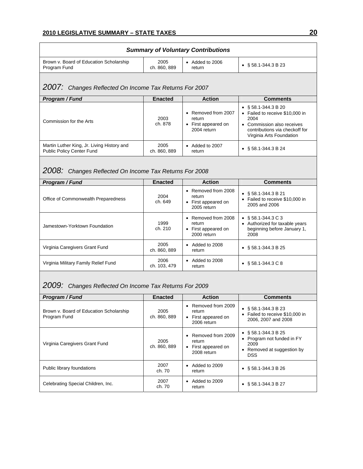Celebrating Special Children, Inc. <sup>2007</sup>

| <b>Summary of Voluntary Contributions</b>                               |                      |                                                                     |                                                                                                                                                               |  |
|-------------------------------------------------------------------------|----------------------|---------------------------------------------------------------------|---------------------------------------------------------------------------------------------------------------------------------------------------------------|--|
| Brown v. Board of Education Scholarship<br>Program Fund                 | 2005<br>ch. 860, 889 | • Added to 2006<br>return                                           | • $\S$ 58.1-344.3 B 23                                                                                                                                        |  |
| 2007: Changes Reflected On Income Tax Returns For 2007                  |                      |                                                                     |                                                                                                                                                               |  |
| Program / Fund                                                          | <b>Enacted</b>       | <b>Action</b>                                                       | <b>Comments</b>                                                                                                                                               |  |
| Commission for the Arts                                                 | 2003<br>ch. 878      | • Removed from 2007<br>return<br>• First appeared on<br>2004 return | • $$58.1 - 344.3 B 20$<br>• Failed to receive \$10,000 in<br>2004<br>• Commission also receives<br>contributions via checkoff for<br>Virginia Arts Foundation |  |
| Martin Luther King, Jr. Living History and<br>Public Policy Center Fund | 2005<br>ch. 860, 889 | • Added to 2007<br>return                                           | • $\S$ 58.1-344.3 B 24                                                                                                                                        |  |
| 2008: Changes Reflected On Income Tax Returns For 2008                  |                      |                                                                     |                                                                                                                                                               |  |
| Program / Fund                                                          | <b>Enacted</b>       | <b>Action</b>                                                       | <b>Comments</b>                                                                                                                                               |  |
| Office of Commonwealth Preparedness                                     | 2004<br>ch. 649      | • Removed from 2008<br>return<br>• First appeared on<br>2005 return | • $§$ 58.1-344.3 B 21<br>• Failed to receive \$10,000 in<br>2005 and 2006                                                                                     |  |
| Jamestown-Yorktown Foundation                                           | 1999<br>ch. 210      | • Removed from 2008<br>return<br>• First appeared on<br>2000 return | • $$58.1 - 344.3 \text{ C}3$<br>• Authorized for taxable years<br>beginning before January 1,<br>2008                                                         |  |
| Virginia Caregivers Grant Fund                                          | 2005<br>ch. 860, 889 | • Added to 2008<br>return                                           | • $§$ 58.1-344.3 B 25                                                                                                                                         |  |
| Virginia Military Family Relief Fund                                    | 2006<br>ch. 103, 479 | • Added to 2008<br>return                                           | • $$58.1 - 344.3 \text{ C}8$                                                                                                                                  |  |
| 2009: Changes Reflected On Income Tax Returns For 2009                  |                      |                                                                     |                                                                                                                                                               |  |
| Program / Fund                                                          | <b>Enacted</b>       | Action                                                              | <b>Comments</b>                                                                                                                                               |  |
| Brown v. Board of Education Scholarship<br>Program Fund                 | 2005<br>ch. 860, 889 | • Removed from 2009<br>return<br>First appeared on<br>2006 return   | § 58.1-344.3 B 23<br>• Failed to receive \$10,000 in<br>2006, 2007 and 2008                                                                                   |  |
| Virginia Caregivers Grant Fund                                          | 2005<br>ch. 860, 889 | • Removed from 2009<br>return<br>• First appeared on<br>2008 return | • $$58.1 - 344.3 B 25$<br>• Program not funded in FY<br>2009<br>• Removed at suggestion by<br>DSS                                                             |  |
| Public library foundations                                              | 2007<br>ch. 70       | • Added to 2009<br>return                                           | • $$58.1 - 344.3 \text{ B } 26$                                                                                                                               |  |

ch. 70

• Added to 2009

•  $§ 58.1-344.3 B 27$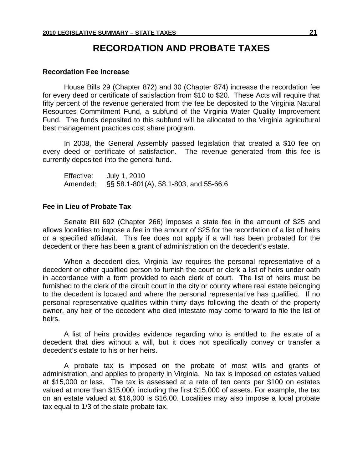## **RECORDATION AND PROBATE TAXES**

#### <span id="page-26-0"></span>**Recordation Fee Increase**

House Bills 29 (Chapter 872) and 30 (Chapter 874) increase the recordation fee for every deed or certificate of satisfaction from \$10 to \$20. These Acts will require that fifty percent of the revenue generated from the fee be deposited to the Virginia Natural Resources Commitment Fund, a subfund of the Virginia Water Quality Improvement Fund. The funds deposited to this subfund will be allocated to the Virginia agricultural best management practices cost share program.

In 2008, the General Assembly passed legislation that created a \$10 fee on every deed or certificate of satisfaction. The revenue generated from this fee is currently deposited into the general fund.

Effective: July 1, 2010 Amended: §§ 58.1-801(A), 58.1-803, and 55-66.6

#### **Fee in Lieu of Probate Tax**

Senate Bill 692 (Chapter 266) imposes a state fee in the amount of \$25 and allows localities to impose a fee in the amount of \$25 for the recordation of a list of heirs or a specified affidavit. This fee does not apply if a will has been probated for the decedent or there has been a grant of administration on the decedent's estate.

When a decedent dies, Virginia law requires the personal representative of a decedent or other qualified person to furnish the court or clerk a list of heirs under oath in accordance with a form provided to each clerk of court. The list of heirs must be furnished to the clerk of the circuit court in the city or county where real estate belonging to the decedent is located and where the personal representative has qualified. If no personal representative qualifies within thirty days following the death of the property owner, any heir of the decedent who died intestate may come forward to file the list of heirs.

A list of heirs provides evidence regarding who is entitled to the estate of a decedent that dies without a will, but it does not specifically convey or transfer a decedent's estate to his or her heirs.

A probate tax is imposed on the probate of most wills and grants of administration, and applies to property in Virginia. No tax is imposed on estates valued at \$15,000 or less. The tax is assessed at a rate of ten cents per \$100 on estates valued at more than \$15,000, including the first \$15,000 of assets. For example, the tax on an estate valued at \$16,000 is \$16.00. Localities may also impose a local probate tax equal to 1/3 of the state probate tax.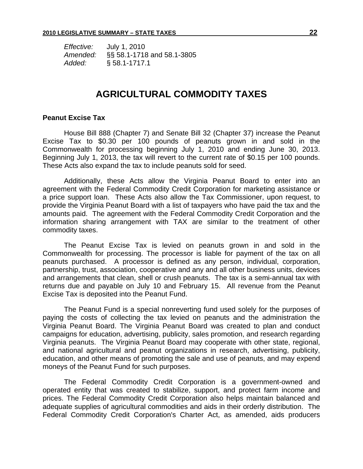<span id="page-27-0"></span>

| <i>Effective:</i> | July 1, 2010               |
|-------------------|----------------------------|
| Amended:          | §§ 58.1-1718 and 58.1-3805 |
| Added:            | $§ 58.1 - 1717.1$          |

## **AGRICULTURAL COMMODITY TAXES**

#### **Peanut Excise Tax**

House Bill 888 (Chapter 7) and Senate Bill 32 (Chapter 37) increase the Peanut Excise Tax to \$0.30 per 100 pounds of peanuts grown in and sold in the Commonwealth for processing beginning July 1, 2010 and ending June 30, 2013. Beginning July 1, 2013, the tax will revert to the current rate of \$0.15 per 100 pounds. These Acts also expand the tax to include peanuts sold for seed.

Additionally, these Acts allow the Virginia Peanut Board to enter into an agreement with the Federal Commodity Credit Corporation for marketing assistance or a price support loan. These Acts also allow the Tax Commissioner, upon request, to provide the Virginia Peanut Board with a list of taxpayers who have paid the tax and the amounts paid. The agreement with the Federal Commodity Credit Corporation and the information sharing arrangement with TAX are similar to the treatment of other commodity taxes.

The Peanut Excise Tax is levied on peanuts grown in and sold in the Commonwealth for processing. The processor is liable for payment of the tax on all peanuts purchased. A processor is defined as any person, individual, corporation, partnership, trust, association, cooperative and any and all other business units, devices and arrangements that clean, shell or crush peanuts. The tax is a semi-annual tax with returns due and payable on July 10 and February 15. All revenue from the Peanut Excise Tax is deposited into the Peanut Fund.

The Peanut Fund is a special nonreverting fund used solely for the purposes of paying the costs of collecting the tax levied on peanuts and the administration the Virginia Peanut Board. The Virginia Peanut Board was created to plan and conduct campaigns for education, advertising, publicity, sales promotion, and research regarding Virginia peanuts. The Virginia Peanut Board may cooperate with other state, regional, and national agricultural and peanut organizations in research, advertising, publicity, education, and other means of promoting the sale and use of peanuts, and may expend moneys of the Peanut Fund for such purposes.

The Federal Commodity Credit Corporation is a government-owned and operated entity that was created to stabilize, support, and protect farm income and prices. The Federal Commodity Credit Corporation also helps maintain balanced and adequate supplies of agricultural commodities and aids in their orderly distribution. The Federal Commodity Credit Corporation's Charter Act, as amended, aids producers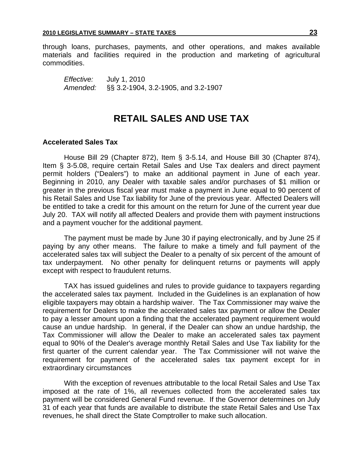<span id="page-28-0"></span>through loans, purchases, payments, and other operations, and makes available materials and facilities required in the production and marketing of agricultural commodities.

*Effective:* July 1, 2010 *Amended:* §§ 3.2-1904, 3.2-1905, and 3.2-1907

## **RETAIL SALES AND USE TAX**

#### **Accelerated Sales Tax**

House Bill 29 (Chapter 872), Item § 3-5.14, and House Bill 30 (Chapter 874), Item § 3-5.08, require certain Retail Sales and Use Tax dealers and direct payment permit holders ("Dealers") to make an additional payment in June of each year. Beginning in 2010, any Dealer with taxable sales and/or purchases of \$1 million or greater in the previous fiscal year must make a payment in June equal to 90 percent of his Retail Sales and Use Tax liability for June of the previous year. Affected Dealers will be entitled to take a credit for this amount on the return for June of the current year due July 20. TAX will notify all affected Dealers and provide them with payment instructions and a payment voucher for the additional payment.

The payment must be made by June 30 if paying electronically, and by June 25 if paying by any other means. The failure to make a timely and full payment of the accelerated sales tax will subject the Dealer to a penalty of six percent of the amount of tax underpayment. No other penalty for delinquent returns or payments will apply except with respect to fraudulent returns.

TAX has issued guidelines and rules to provide guidance to taxpayers regarding the accelerated sales tax payment. Included in the Guidelines is an explanation of how eligible taxpayers may obtain a hardship waiver. The Tax Commissioner may waive the requirement for Dealers to make the accelerated sales tax payment or allow the Dealer to pay a lesser amount upon a finding that the accelerated payment requirement would cause an undue hardship. In general, if the Dealer can show an undue hardship, the Tax Commissioner will allow the Dealer to make an accelerated sales tax payment equal to 90% of the Dealer's average monthly Retail Sales and Use Tax liability for the first quarter of the current calendar year. The Tax Commissioner will not waive the requirement for payment of the accelerated sales tax payment except for in extraordinary circumstances

With the exception of revenues attributable to the local Retail Sales and Use Tax imposed at the rate of 1%, all revenues collected from the accelerated sales tax payment will be considered General Fund revenue. If the Governor determines on July 31 of each year that funds are available to distribute the state Retail Sales and Use Tax revenues, he shall direct the State Comptroller to make such allocation.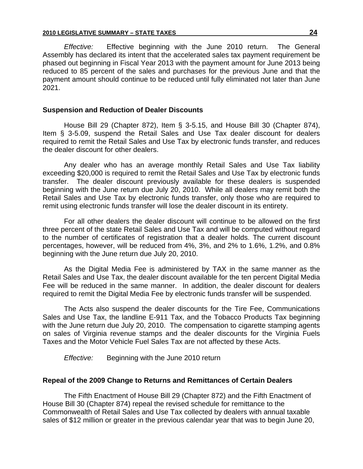#### <span id="page-29-0"></span>**2010 LEGISLATIVE SUMMARY – STATE TAXES 24**

*Effective:* Effective beginning with the June 2010 return. The General Assembly has declared its intent that the accelerated sales tax payment requirement be phased out beginning in Fiscal Year 2013 with the payment amount for June 2013 being reduced to 85 percent of the sales and purchases for the previous June and that the payment amount should continue to be reduced until fully eliminated not later than June 2021.

#### **Suspension and Reduction of Dealer Discounts**

House Bill 29 (Chapter 872), Item § 3-5.15, and House Bill 30 (Chapter 874), Item § 3-5.09, suspend the Retail Sales and Use Tax dealer discount for dealers required to remit the Retail Sales and Use Tax by electronic funds transfer, and reduces the dealer discount for other dealers.

Any dealer who has an average monthly Retail Sales and Use Tax liability exceeding \$20,000 is required to remit the Retail Sales and Use Tax by electronic funds transfer. The dealer discount previously available for these dealers is suspended beginning with the June return due July 20, 2010. While all dealers may remit both the Retail Sales and Use Tax by electronic funds transfer, only those who are required to remit using electronic funds transfer will lose the dealer discount in its entirety.

For all other dealers the dealer discount will continue to be allowed on the first three percent of the state Retail Sales and Use Tax and will be computed without regard to the number of certificates of registration that a dealer holds. The current discount percentages, however, will be reduced from 4%, 3%, and 2% to 1.6%, 1.2%, and 0.8% beginning with the June return due July 20, 2010.

As the Digital Media Fee is administered by TAX in the same manner as the Retail Sales and Use Tax, the dealer discount available for the ten percent Digital Media Fee will be reduced in the same manner. In addition, the dealer discount for dealers required to remit the Digital Media Fee by electronic funds transfer will be suspended.

The Acts also suspend the dealer discounts for the Tire Fee, Communications Sales and Use Tax, the landline E-911 Tax, and the Tobacco Products Tax beginning with the June return due July 20, 2010. The compensation to cigarette stamping agents on sales of Virginia revenue stamps and the dealer discounts for the Virginia Fuels Taxes and the Motor Vehicle Fuel Sales Tax are not affected by these Acts.

*Effective:* Beginning with the June 2010 return

#### **Repeal of the 2009 Change to Returns and Remittances of Certain Dealers**

The Fifth Enactment of House Bill 29 (Chapter 872) and the Fifth Enactment of House Bill 30 (Chapter 874) repeal the revised schedule for remittance to the Commonwealth of Retail Sales and Use Tax collected by dealers with annual taxable sales of \$12 million or greater in the previous calendar year that was to begin June 20,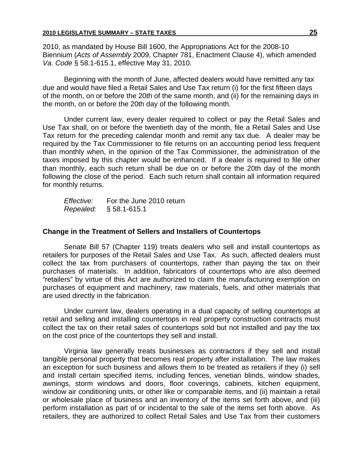<span id="page-30-0"></span>2010, as mandated by House Bill 1600, the Appropriations Act for the 2008-10 Biennium (*Acts of Assembly* 2009, Chapter 781, Enactment Clause 4), which amended *Va. Code* § 58.1-615.1, effective May 31, 2010.

Beginning with the month of June, affected dealers would have remitted any tax due and would have filed a Retail Sales and Use Tax return (i) for the first fifteen days of the month, on or before the 20th of the same month, and (ii) for the remaining days in the month, on or before the 20th day of the following month.

Under current law, every dealer required to collect or pay the Retail Sales and Use Tax shall, on or before the twentieth day of the month, file a Retail Sales and Use Tax return for the preceding calendar month and remit any tax due. A dealer may be required by the Tax Commissioner to file returns on an accounting period less frequent than monthly when, in the opinion of the Tax Commissioner, the administration of the taxes imposed by this chapter would be enhanced. If a dealer is required to file other than monthly, each such return shall be due on or before the 20th day of the month following the close of the period. Each such return shall contain all information required for monthly returns.

*Effective:* For the June 2010 return *Repealed:* § 58.1-615.1

#### **Change in the Treatment of Sellers and Installers of Countertops**

Senate Bill 57 (Chapter 119) treats dealers who sell and install countertops as retailers for purposes of the Retail Sales and Use Tax. As such, affected dealers must collect the tax from purchasers of countertops, rather than paying the tax on their purchases of materials. In addition, fabricators of countertops who are also deemed "retailers" by virtue of this Act are authorized to claim the manufacturing exemption on purchases of equipment and machinery, raw materials, fuels, and other materials that are used directly in the fabrication.

Under current law, dealers operating in a dual capacity of selling countertops at retail and selling and installing countertops in real property construction contracts must collect the tax on their retail sales of countertops sold but not installed and pay the tax on the cost price of the countertops they sell and install.

Virginia law generally treats businesses as contractors if they sell and install tangible personal property that becomes real property after installation. The law makes an exception for such business and allows them to be treated as retailers if they (i) sell and install certain specified items, including fences, venetian blinds, window shades, awnings, storm windows and doors, floor coverings, cabinets, kitchen equipment, window air conditioning units, or other like or comparable items, and (ii) maintain a retail or wholesale place of business and an inventory of the items set forth above, and (iii) perform installation as part of or incidental to the sale of the items set forth above. As retailers, they are authorized to collect Retail Sales and Use Tax from their customers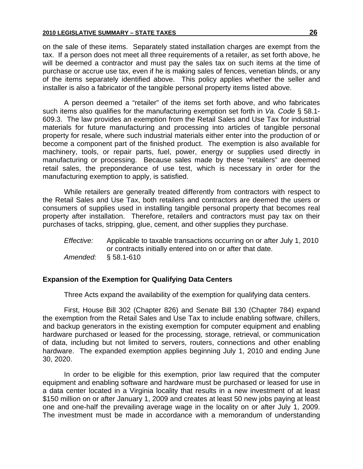#### <span id="page-31-0"></span>**2010 LEGISLATIVE SUMMARY – STATE TAXES 26**

on the sale of these items. Separately stated installation charges are exempt from the tax. If a person does not meet all three requirements of a retailer, as set forth above, he will be deemed a contractor and must pay the sales tax on such items at the time of purchase or accrue use tax, even if he is making sales of fences, venetian blinds, or any of the items separately identified above. This policy applies whether the seller and installer is also a fabricator of the tangible personal property items listed above.

A person deemed a "retailer" of the items set forth above, and who fabricates such items also qualifies for the manufacturing exemption set forth in *Va. Code* § 58.1- 609.3. The law provides an exemption from the Retail Sales and Use Tax for industrial materials for future manufacturing and processing into articles of tangible personal property for resale, where such industrial materials either enter into the production of or become a component part of the finished product. The exemption is also available for machinery, tools, or repair parts, fuel, power, energy or supplies used directly in manufacturing or processing. Because sales made by these "retailers" are deemed retail sales, the preponderance of use test, which is necessary in order for the manufacturing exemption to apply, is satisfied.

While retailers are generally treated differently from contractors with respect to the Retail Sales and Use Tax, both retailers and contractors are deemed the users or consumers of supplies used in installing tangible personal property that becomes real property after installation. Therefore, retailers and contractors must pay tax on their purchases of tacks, stripping, glue, cement, and other supplies they purchase.

*Effective:* Applicable to taxable transactions occurring on or after July 1, 2010 or contracts initially entered into on or after that date. *Amended:* § 58.1-610

#### **Expansion of the Exemption for Qualifying Data Centers**

Three Acts expand the availability of the exemption for qualifying data centers.

First, House Bill 302 (Chapter 826) and Senate Bill 130 (Chapter 784) expand the exemption from the Retail Sales and Use Tax to include enabling software, chillers, and backup generators in the existing exemption for computer equipment and enabling hardware purchased or leased for the processing, storage, retrieval, or communication of data, including but not limited to servers, routers, connections and other enabling hardware. The expanded exemption applies beginning July 1, 2010 and ending June 30, 2020.

In order to be eligible for this exemption, prior law required that the computer equipment and enabling software and hardware must be purchased or leased for use in a data center located in a Virginia locality that results in a new investment of at least \$150 million on or after January 1, 2009 and creates at least 50 new jobs paying at least one and one-half the prevailing average wage in the locality on or after July 1, 2009. The investment must be made in accordance with a memorandum of understanding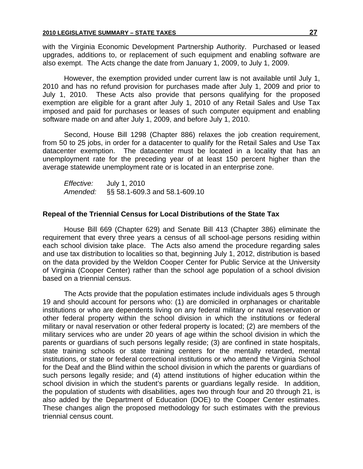<span id="page-32-0"></span>with the Virginia Economic Development Partnership Authority. Purchased or leased upgrades, additions to, or replacement of such equipment and enabling software are also exempt. The Acts change the date from January 1, 2009, to July 1, 2009.

However, the exemption provided under current law is not available until July 1, 2010 and has no refund provision for purchases made after July 1, 2009 and prior to July 1, 2010. These Acts also provide that persons qualifying for the proposed exemption are eligible for a grant after July 1, 2010 of any Retail Sales and Use Tax imposed and paid for purchases or leases of such computer equipment and enabling software made on and after July 1, 2009, and before July 1, 2010.

Second, House Bill 1298 (Chapter 886) relaxes the job creation requirement, from 50 to 25 jobs, in order for a datacenter to qualify for the Retail Sales and Use Tax datacenter exemption. The datacenter must be located in a locality that has an unemployment rate for the preceding year of at least 150 percent higher than the average statewide unemployment rate or is located in an enterprise zone.

*Effective:* July 1, 2010 *Amended:* §§ 58.1-609.3 and 58.1-609.10

#### **Repeal of the Triennial Census for Local Distributions of the State Tax**

House Bill 669 (Chapter 629) and Senate Bill 413 (Chapter 386) eliminate the requirement that every three years a census of all school-age persons residing within each school division take place. The Acts also amend the procedure regarding sales and use tax distribution to localities so that, beginning July 1, 2012, distribution is based on the data provided by the Weldon Cooper Center for Public Service at the University of Virginia (Cooper Center) rather than the school age population of a school division based on a triennial census.

The Acts provide that the population estimates include individuals ages 5 through 19 and should account for persons who: (1) are domiciled in orphanages or charitable institutions or who are dependents living on any federal military or naval reservation or other federal property within the school division in which the institutions or federal military or naval reservation or other federal property is located; (2) are members of the military services who are under 20 years of age within the school division in which the parents or guardians of such persons legally reside; (3) are confined in state hospitals, state training schools or state training centers for the mentally retarded, mental institutions, or state or federal correctional institutions or who attend the Virginia School for the Deaf and the Blind within the school division in which the parents or guardians of such persons legally reside; and (4) attend institutions of higher education within the school division in which the student's parents or guardians legally reside. In addition, the population of students with disabilities, ages two through four and 20 through 21, is also added by the Department of Education (DOE) to the Cooper Center estimates. These changes align the proposed methodology for such estimates with the previous triennial census count.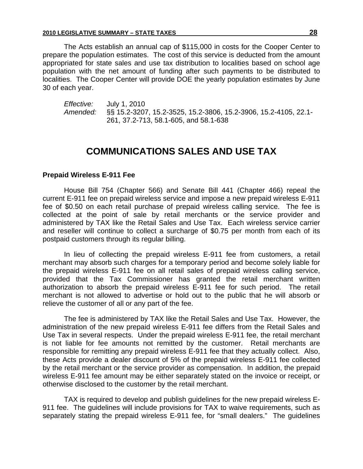#### <span id="page-33-0"></span>**2010 LEGISLATIVE SUMMARY – STATE TAXES 28**

The Acts establish an annual cap of \$115,000 in costs for the Cooper Center to prepare the population estimates. The cost of this service is deducted from the amount appropriated for state sales and use tax distribution to localities based on school age population with the net amount of funding after such payments to be distributed to localities. The Cooper Center will provide DOE the yearly population estimates by June 30 of each year.

*Effective:* July 1, 2010 *Amended:* §§ 15.2-3207, 15.2-3525, 15.2-3806, 15.2-3906, 15.2-4105, 22.1- 261, 37.2-713, 58.1-605, and 58.1-638

## **COMMUNICATIONS SALES AND USE TAX**

#### **Prepaid Wireless E-911 Fee**

House Bill 754 (Chapter 566) and Senate Bill 441 (Chapter 466) repeal the current E-911 fee on prepaid wireless service and impose a new prepaid wireless E-911 fee of \$0.50 on each retail purchase of prepaid wireless calling service. The fee is collected at the point of sale by retail merchants or the service provider and administered by TAX like the Retail Sales and Use Tax. Each wireless service carrier and reseller will continue to collect a surcharge of \$0.75 per month from each of its postpaid customers through its regular billing.

In lieu of collecting the prepaid wireless E-911 fee from customers, a retail merchant may absorb such charges for a temporary period and become solely liable for the prepaid wireless E-911 fee on all retail sales of prepaid wireless calling service, provided that the Tax Commissioner has granted the retail merchant written authorization to absorb the prepaid wireless E-911 fee for such period. The retail merchant is not allowed to advertise or hold out to the public that he will absorb or relieve the customer of all or any part of the fee.

The fee is administered by TAX like the Retail Sales and Use Tax. However, the administration of the new prepaid wireless E-911 fee differs from the Retail Sales and Use Tax in several respects. Under the prepaid wireless E-911 fee, the retail merchant is not liable for fee amounts not remitted by the customer. Retail merchants are responsible for remitting any prepaid wireless E-911 fee that they actually collect. Also, these Acts provide a dealer discount of 5% of the prepaid wireless E-911 fee collected by the retail merchant or the service provider as compensation. In addition, the prepaid wireless E-911 fee amount may be either separately stated on the invoice or receipt, or otherwise disclosed to the customer by the retail merchant.

TAX is required to develop and publish guidelines for the new prepaid wireless E-911 fee. The guidelines will include provisions for TAX to waive requirements, such as separately stating the prepaid wireless E-911 fee, for "small dealers." The guidelines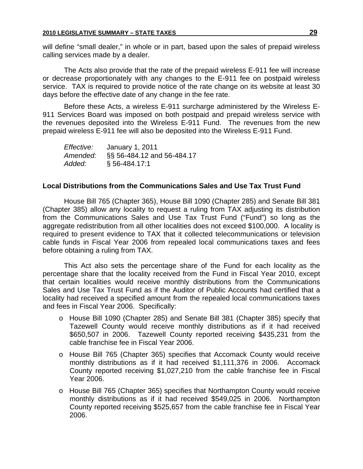<span id="page-34-0"></span>will define "small dealer," in whole or in part, based upon the sales of prepaid wireless calling services made by a dealer.

The Acts also provide that the rate of the prepaid wireless E-911 fee will increase or decrease proportionately with any changes to the E-911 fee on postpaid wireless service. TAX is required to provide notice of the rate change on its website at least 30 days before the effective date of any change in the fee rate.

Before these Acts, a wireless E-911 surcharge administered by the Wireless E-911 Services Board was imposed on both postpaid and prepaid wireless service with the revenues deposited into the Wireless E-911 Fund. The revenues from the new prepaid wireless E-911 fee will also be deposited into the Wireless E-911 Fund.

*Effective:* January 1, 2011 *Amended:* §§ 56-484.12 and 56-484.17 *Added:* § 56-484.17:1

#### **Local Distributions from the Communications Sales and Use Tax Trust Fund**

House Bill 765 (Chapter 365), House Bill 1090 (Chapter 285) and Senate Bill 381 (Chapter 385) allow any locality to request a ruling from TAX adjusting its distribution from the Communications Sales and Use Tax Trust Fund ("Fund") so long as the aggregate redistribution from all other localities does not exceed \$100,000. A locality is required to present evidence to TAX that it collected telecommunications or television cable funds in Fiscal Year 2006 from repealed local communications taxes and fees before obtaining a ruling from TAX.

This Act also sets the percentage share of the Fund for each locality as the percentage share that the locality received from the Fund in Fiscal Year 2010, except that certain localities would receive monthly distributions from the Communications Sales and Use Tax Trust Fund as if the Auditor of Public Accounts had certified that a locality had received a specified amount from the repealed local communications taxes and fees in Fiscal Year 2006. Specifically:

- o House Bill 1090 (Chapter 285) and Senate Bill 381 (Chapter 385) specify that Tazewell County would receive monthly distributions as if it had received \$650,507 in 2006. Tazewell County reported receiving \$435,231 from the cable franchise fee in Fiscal Year 2006.
- o House Bill 765 (Chapter 365) specifies that Accomack County would receive monthly distributions as if it had received \$1,111,376 in 2006. Accomack County reported receiving \$1,027,210 from the cable franchise fee in Fiscal Year 2006.
- o House Bill 765 (Chapter 365) specifies that Northampton County would receive monthly distributions as if it had received \$549,025 in 2006. Northampton County reported receiving \$525,657 from the cable franchise fee in Fiscal Year 2006.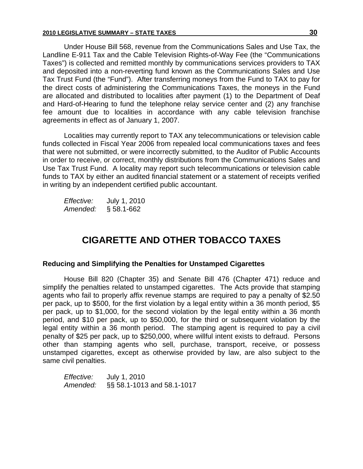<span id="page-35-0"></span>Under House Bill 568, revenue from the Communications Sales and Use Tax, the Landline E-911 Tax and the Cable Television Rights-of-Way Fee (the "Communications Taxes") is collected and remitted monthly by communications services providers to TAX and deposited into a non-reverting fund known as the Communications Sales and Use Tax Trust Fund (the "Fund"). After transferring moneys from the Fund to TAX to pay for the direct costs of administering the Communications Taxes, the moneys in the Fund are allocated and distributed to localities after payment (1) to the Department of Deaf and Hard-of-Hearing to fund the telephone relay service center and (2) any franchise fee amount due to localities in accordance with any cable television franchise agreements in effect as of January 1, 2007.

Localities may currently report to TAX any telecommunications or television cable funds collected in Fiscal Year 2006 from repealed local communications taxes and fees that were not submitted, or were incorrectly submitted, to the Auditor of Public Accounts in order to receive, or correct, monthly distributions from the Communications Sales and Use Tax Trust Fund. A locality may report such telecommunications or television cable funds to TAX by either an audited financial statement or a statement of receipts verified in writing by an independent certified public accountant.

*Effective:* July 1, 2010 *Amended:* § 58.1-662

## **CIGARETTE AND OTHER TOBACCO TAXES**

#### **Reducing and Simplifying the Penalties for Unstamped Cigarettes**

House Bill 820 (Chapter 35) and Senate Bill 476 (Chapter 471) reduce and simplify the penalties related to unstamped cigarettes. The Acts provide that stamping agents who fail to properly affix revenue stamps are required to pay a penalty of \$2.50 per pack, up to \$500, for the first violation by a legal entity within a 36 month period, \$5 per pack, up to \$1,000, for the second violation by the legal entity within a 36 month period, and \$10 per pack, up to \$50,000, for the third or subsequent violation by the legal entity within a 36 month period. The stamping agent is required to pay a civil penalty of \$25 per pack, up to \$250,000, where willful intent exists to defraud. Persons other than stamping agents who sell, purchase, transport, receive, or possess unstamped cigarettes, except as otherwise provided by law, are also subject to the same civil penalties.

*Effective:* July 1, 2010 *Amended:* §§ 58.1-1013 and 58.1-1017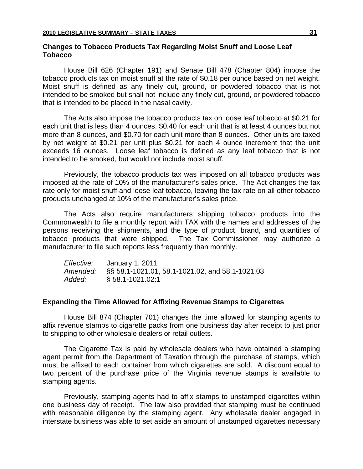#### <span id="page-36-0"></span>**Changes to Tobacco Products Tax Regarding Moist Snuff and Loose Leaf Tobacco**

House Bill 626 (Chapter 191) and Senate Bill 478 (Chapter 804) impose the tobacco products tax on moist snuff at the rate of \$0.18 per ounce based on net weight. Moist snuff is defined as any finely cut, ground, or powdered tobacco that is not intended to be smoked but shall not include any finely cut, ground, or powdered tobacco that is intended to be placed in the nasal cavity.

The Acts also impose the tobacco products tax on loose leaf tobacco at \$0.21 for each unit that is less than 4 ounces, \$0.40 for each unit that is at least 4 ounces but not more than 8 ounces, and \$0.70 for each unit more than 8 ounces. Other units are taxed by net weight at \$0.21 per unit plus \$0.21 for each 4 ounce increment that the unit exceeds 16 ounces. Loose leaf tobacco is defined as any leaf tobacco that is not intended to be smoked, but would not include moist snuff.

Previously, the tobacco products tax was imposed on all tobacco products was imposed at the rate of 10% of the manufacturer's sales price. The Act changes the tax rate only for moist snuff and loose leaf tobacco, leaving the tax rate on all other tobacco products unchanged at 10% of the manufacturer's sales price.

The Acts also require manufacturers shipping tobacco products into the Commonwealth to file a monthly report with TAX with the names and addresses of the persons receiving the shipments, and the type of product, brand, and quantities of tobacco products that were shipped. The Tax Commissioner may authorize a manufacturer to file such reports less frequently than monthly.

|          | Effective: January 1, 2011                      |
|----------|-------------------------------------------------|
| Amended: | §§ 58.1-1021.01, 58.1-1021.02, and 58.1-1021.03 |
| Added:   | § 58.1-1021.02:1                                |

#### **Expanding the Time Allowed for Affixing Revenue Stamps to Cigarettes**

House Bill 874 (Chapter 701) changes the time allowed for stamping agents to affix revenue stamps to cigarette packs from one business day after receipt to just prior to shipping to other wholesale dealers or retail outlets.

The Cigarette Tax is paid by wholesale dealers who have obtained a stamping agent permit from the Department of Taxation through the purchase of stamps, which must be affixed to each container from which cigarettes are sold. A discount equal to two percent of the purchase price of the Virginia revenue stamps is available to stamping agents.

Previously, stamping agents had to affix stamps to unstamped cigarettes within one business day of receipt. The law also provided that stamping must be continued with reasonable diligence by the stamping agent. Any wholesale dealer engaged in interstate business was able to set aside an amount of unstamped cigarettes necessary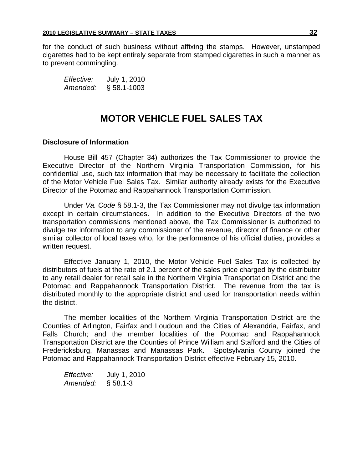<span id="page-37-0"></span>for the conduct of such business without affixing the stamps. However, unstamped cigarettes had to be kept entirely separate from stamped cigarettes in such a manner as to prevent commingling.

*Effective:* July 1, 2010 *Amended:* § 58.1-1003

## **MOTOR VEHICLE FUEL SALES TAX**

#### **Disclosure of Information**

House Bill 457 (Chapter 34) authorizes the Tax Commissioner to provide the Executive Director of the Northern Virginia Transportation Commission, for his confidential use, such tax information that may be necessary to facilitate the collection of the Motor Vehicle Fuel Sales Tax. Similar authority already exists for the Executive Director of the Potomac and Rappahannock Transportation Commission.

Under *Va. Code* § 58.1-3, the Tax Commissioner may not divulge tax information except in certain circumstances. In addition to the Executive Directors of the two transportation commissions mentioned above, the Tax Commissioner is authorized to divulge tax information to any commissioner of the revenue, director of finance or other similar collector of local taxes who, for the performance of his official duties, provides a written request.

Effective January 1, 2010, the Motor Vehicle Fuel Sales Tax is collected by distributors of fuels at the rate of 2.1 percent of the sales price charged by the distributor to any retail dealer for retail sale in the Northern Virginia Transportation District and the Potomac and Rappahannock Transportation District. The revenue from the tax is distributed monthly to the appropriate district and used for transportation needs within the district.

The member localities of the Northern Virginia Transportation District are the Counties of Arlington, Fairfax and Loudoun and the Cities of Alexandria, Fairfax, and Falls Church; and the member localities of the Potomac and Rappahannock Transportation District are the Counties of Prince William and Stafford and the Cities of Fredericksburg, Manassas and Manassas Park. Spotsylvania County joined the Potomac and Rappahannock Transportation District effective February 15, 2010.

*Effective:* July 1, 2010 *Amended:* § 58.1-3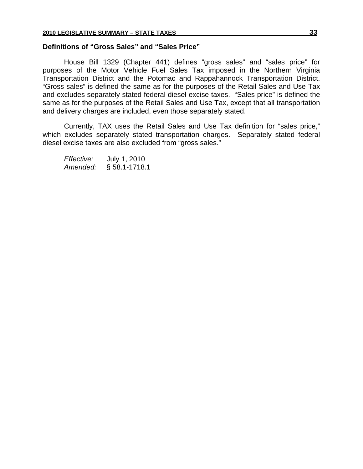#### <span id="page-38-0"></span>**Definitions of "Gross Sales" and "Sales Price"**

House Bill 1329 (Chapter 441) defines "gross sales" and "sales price" for purposes of the Motor Vehicle Fuel Sales Tax imposed in the Northern Virginia Transportation District and the Potomac and Rappahannock Transportation District. "Gross sales" is defined the same as for the purposes of the Retail Sales and Use Tax and excludes separately stated federal diesel excise taxes. "Sales price" is defined the same as for the purposes of the Retail Sales and Use Tax, except that all transportation and delivery charges are included, even those separately stated.

Currently, TAX uses the Retail Sales and Use Tax definition for "sales price," which excludes separately stated transportation charges. Separately stated federal diesel excise taxes are also excluded from "gross sales."

*Effective:* July 1, 2010 *Amended:* § 58.1-1718.1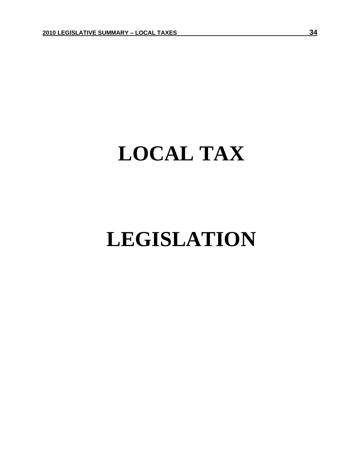## <span id="page-39-0"></span>**LOCAL TAX**

## **LEGISLATION**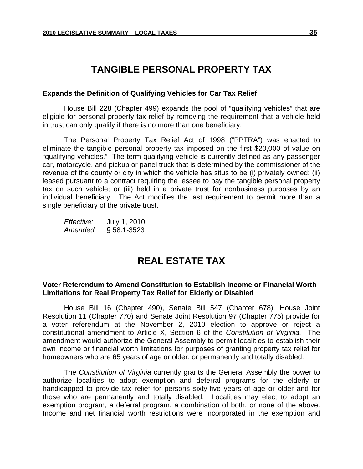### **TANGIBLE PERSONAL PROPERTY TAX**

#### <span id="page-40-0"></span>**Expands the Definition of Qualifying Vehicles for Car Tax Relief**

House Bill 228 (Chapter 499) expands the pool of "qualifying vehicles" that are eligible for personal property tax relief by removing the requirement that a vehicle held in trust can only qualify if there is no more than one beneficiary.

The Personal Property Tax Relief Act of 1998 ("PPTRA") was enacted to eliminate the tangible personal property tax imposed on the first \$20,000 of value on "qualifying vehicles." The term qualifying vehicle is currently defined as any passenger car, motorcycle, and pickup or panel truck that is determined by the commissioner of the revenue of the county or city in which the vehicle has situs to be (i) privately owned; (ii) leased pursuant to a contract requiring the lessee to pay the tangible personal property tax on such vehicle; or (iii) held in a private trust for nonbusiness purposes by an individual beneficiary. The Act modifies the last requirement to permit more than a single beneficiary of the private trust.

*Effective:* July 1, 2010 *Amended:* § 58.1-3523

## **REAL ESTATE TAX**

#### **Voter Referendum to Amend Constitution to Establish Income or Financial Worth Limitations for Real Property Tax Relief for Elderly or Disabled**

House Bill 16 (Chapter 490), Senate Bill 547 (Chapter 678), House Joint Resolution 11 (Chapter 770) and Senate Joint Resolution 97 (Chapter 775) provide for a voter referendum at the November 2, 2010 election to approve or reject a constitutional amendment to Article X, Section 6 of the *Constitution of Virginia.* The amendment would authorize the General Assembly to permit localities to establish their own income or financial worth limitations for purposes of granting property tax relief for homeowners who are 65 years of age or older, or permanently and totally disabled.

The *Constitution of Virginia* currently grants the General Assembly the power to authorize localities to adopt exemption and deferral programs for the elderly or handicapped to provide tax relief for persons sixty-five years of age or older and for those who are permanently and totally disabled. Localities may elect to adopt an exemption program, a deferral program, a combination of both, or none of the above. Income and net financial worth restrictions were incorporated in the exemption and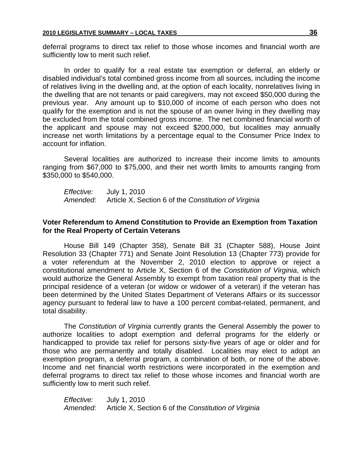<span id="page-41-0"></span>deferral programs to direct tax relief to those whose incomes and financial worth are sufficiently low to merit such relief.

In order to qualify for a real estate tax exemption or deferral, an elderly or disabled individual's total combined gross income from all sources, including the income of relatives living in the dwelling and, at the option of each locality, nonrelatives living in the dwelling that are not tenants or paid caregivers, may not exceed \$50,000 during the previous year. Any amount up to \$10,000 of income of each person who does not qualify for the exemption and is not the spouse of an owner living in they dwelling may be excluded from the total combined gross income. The net combined financial worth of the applicant and spouse may not exceed \$200,000, but localities may annually increase net worth limitations by a percentage equal to the Consumer Price Index to account for inflation.

Several localities are authorized to increase their income limits to amounts ranging from \$67,000 to \$75,000, and their net worth limits to amounts ranging from \$350,000 to \$540,000.

*Effective:* July 1, 2010 *Amended:* Article X, Section 6 of the *Constitution of Virginia*

#### **Voter Referendum to Amend Constitution to Provide an Exemption from Taxation for the Real Property of Certain Veterans**

House Bill 149 (Chapter 358), Senate Bill 31 (Chapter 588), House Joint Resolution 33 (Chapter 771) and Senate Joint Resolution 13 (Chapter 773) provide for a voter referendum at the November 2, 2010 election to approve or reject a constitutional amendment to Article X, Section 6 of the *Constitution of Virginia*, which would authorize the General Assembly to exempt from taxation real property that is the principal residence of a veteran (or widow or widower of a veteran) if the veteran has been determined by the United States Department of Veterans Affairs or its successor agency pursuant to federal law to have a 100 percent combat-related, permanent, and total disability.

The *Constitution of Virginia* currently grants the General Assembly the power to authorize localities to adopt exemption and deferral programs for the elderly or handicapped to provide tax relief for persons sixty-five years of age or older and for those who are permanently and totally disabled. Localities may elect to adopt an exemption program, a deferral program, a combination of both, or none of the above. Income and net financial worth restrictions were incorporated in the exemption and deferral programs to direct tax relief to those whose incomes and financial worth are sufficiently low to merit such relief.

*Effective:* July 1, 2010 *Amended:* Article X, Section 6 of the *Constitution of Virginia*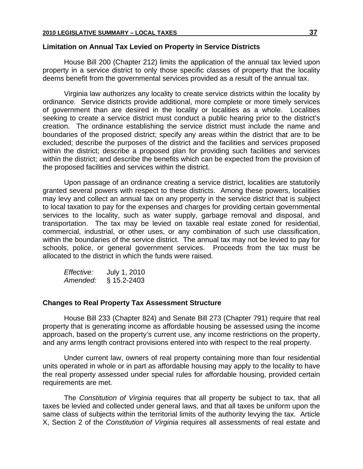#### <span id="page-42-0"></span>**Limitation on Annual Tax Levied on Property in Service Districts**

House Bill 200 (Chapter 212) limits the application of the annual tax levied upon property in a service district to only those specific classes of property that the locality deems benefit from the governmental services provided as a result of the annual tax.

Virginia law authorizes any locality to create service districts within the locality by ordinance. Service districts provide additional, more complete or more timely services of government than are desired in the locality or localities as a whole. Localities seeking to create a service district must conduct a public hearing prior to the district's creation. The ordinance establishing the service district must include the name and boundaries of the proposed district; specify any areas within the district that are to be excluded; describe the purposes of the district and the facilities and services proposed within the district; describe a proposed plan for providing such facilities and services within the district; and describe the benefits which can be expected from the provision of the proposed facilities and services within the district.

Upon passage of an ordinance creating a service district, localities are statutorily granted several powers with respect to these districts. Among these powers, localities may levy and collect an annual tax on any property in the service district that is subject to local taxation to pay for the expenses and charges for providing certain governmental services to the locality, such as water supply, garbage removal and disposal, and transportation. The tax may be levied on taxable real estate zoned for residential, commercial, industrial, or other uses, or any combination of such use classification, within the boundaries of the service district. The annual tax may not be levied to pay for schools, police, or general government services. Proceeds from the tax must be allocated to the district in which the funds were raised.

| Effective: | July 1, 2010  |
|------------|---------------|
| Amended:   | $§$ 15.2-2403 |

#### **Changes to Real Property Tax Assessment Structure**

House Bill 233 (Chapter 824) and Senate Bill 273 (Chapter 791) require that real property that is generating income as affordable housing be assessed using the income approach, based on the property's current use, any income restrictions on the property, and any arms length contract provisions entered into with respect to the real property.

Under current law, owners of real property containing more than four residential units operated in whole or in part as affordable housing may apply to the locality to have the real property assessed under special rules for affordable housing, provided certain requirements are met.

The *Constitution of Virginia* requires that all property be subject to tax, that all taxes be levied and collected under general laws, and that all taxes be uniform upon the same class of subjects within the territorial limits of the authority levying the tax. Article X, Section 2 of the *Constitution of Virginia* requires all assessments of real estate and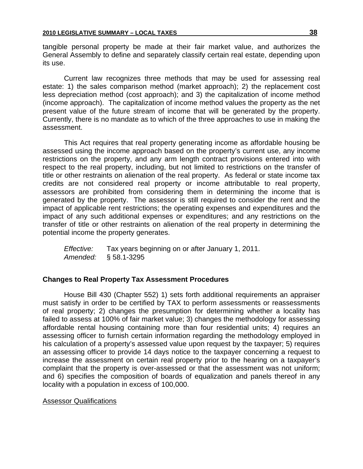<span id="page-43-0"></span>tangible personal property be made at their fair market value, and authorizes the General Assembly to define and separately classify certain real estate, depending upon its use.

Current law recognizes three methods that may be used for assessing real estate: 1) the sales comparison method (market approach); 2) the replacement cost less depreciation method (cost approach); and 3) the capitalization of income method (income approach). The capitalization of income method values the property as the net present value of the future stream of income that will be generated by the property. Currently, there is no mandate as to which of the three approaches to use in making the assessment.

This Act requires that real property generating income as affordable housing be assessed using the income approach based on the property's current use, any income restrictions on the property, and any arm length contract provisions entered into with respect to the real property, including, but not limited to restrictions on the transfer of title or other restraints on alienation of the real property. As federal or state income tax credits are not considered real property or income attributable to real property, assessors are prohibited from considering them in determining the income that is generated by the property. The assessor is still required to consider the rent and the impact of applicable rent restrictions; the operating expenses and expenditures and the impact of any such additional expenses or expenditures; and any restrictions on the transfer of title or other restraints on alienation of the real property in determining the potential income the property generates.

*Effective:* Tax years beginning on or after January 1, 2011. *Amended:* § 58.1-3295

#### **Changes to Real Property Tax Assessment Procedures**

House Bill 430 (Chapter 552) 1) sets forth additional requirements an appraiser must satisfy in order to be certified by TAX to perform assessments or reassessments of real property; 2) changes the presumption for determining whether a locality has failed to assess at 100% of fair market value; 3) changes the methodology for assessing affordable rental housing containing more than four residential units; 4) requires an assessing officer to furnish certain information regarding the methodology employed in his calculation of a property's assessed value upon request by the taxpayer; 5) requires an assessing officer to provide 14 days notice to the taxpayer concerning a request to increase the assessment on certain real property prior to the hearing on a taxpayer's complaint that the property is over-assessed or that the assessment was not uniform; and 6) specifies the composition of boards of equalization and panels thereof in any locality with a population in excess of 100,000.

#### Assessor Qualifications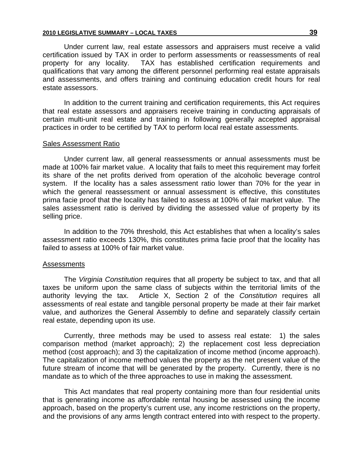#### **2010 LEGISLATIVE SUMMARY – LOCAL TAXES 39**

Under current law, real estate assessors and appraisers must receive a valid certification issued by TAX in order to perform assessments or reassessments of real property for any locality. TAX has established certification requirements and qualifications that vary among the different personnel performing real estate appraisals and assessments, and offers training and continuing education credit hours for real estate assessors.

In addition to the current training and certification requirements, this Act requires that real estate assessors and appraisers receive training in conducting appraisals of certain multi-unit real estate and training in following generally accepted appraisal practices in order to be certified by TAX to perform local real estate assessments.

#### Sales Assessment Ratio

Under current law, all general reassessments or annual assessments must be made at 100% fair market value. A locality that fails to meet this requirement may forfeit its share of the net profits derived from operation of the alcoholic beverage control system. If the locality has a sales assessment ratio lower than 70% for the year in which the general reassessment or annual assessment is effective, this constitutes prima facie proof that the locality has failed to assess at 100% of fair market value. The sales assessment ratio is derived by dividing the assessed value of property by its selling price.

In addition to the 70% threshold, this Act establishes that when a locality's sales assessment ratio exceeds 130%, this constitutes prima facie proof that the locality has failed to assess at 100% of fair market value.

#### Assessments

The *Virginia Constitution* requires that all property be subject to tax, and that all taxes be uniform upon the same class of subjects within the territorial limits of the authority levying the tax. Article X, Section 2 of the *Constitution* requires all assessments of real estate and tangible personal property be made at their fair market value, and authorizes the General Assembly to define and separately classify certain real estate, depending upon its use.

Currently, three methods may be used to assess real estate: 1) the sales comparison method (market approach); 2) the replacement cost less depreciation method (cost approach); and 3) the capitalization of income method (income approach). The capitalization of income method values the property as the net present value of the future stream of income that will be generated by the property. Currently, there is no mandate as to which of the three approaches to use in making the assessment.

This Act mandates that real property containing more than four residential units that is generating income as affordable rental housing be assessed using the income approach, based on the property's current use, any income restrictions on the property, and the provisions of any arms length contract entered into with respect to the property.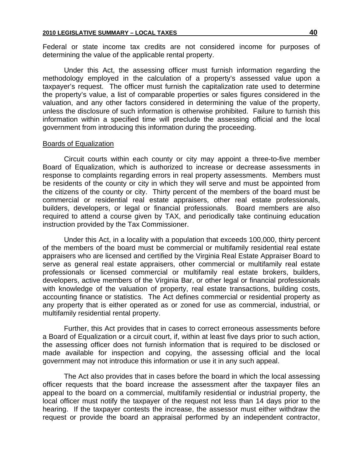Federal or state income tax credits are not considered income for purposes of determining the value of the applicable rental property.

Under this Act, the assessing officer must furnish information regarding the methodology employed in the calculation of a property's assessed value upon a taxpayer's request. The officer must furnish the capitalization rate used to determine the property's value, a list of comparable properties or sales figures considered in the valuation, and any other factors considered in determining the value of the property, unless the disclosure of such information is otherwise prohibited. Failure to furnish this information within a specified time will preclude the assessing official and the local government from introducing this information during the proceeding.

#### Boards of Equalization

Circuit courts within each county or city may appoint a three-to-five member Board of Equalization, which is authorized to increase or decrease assessments in response to complaints regarding errors in real property assessments. Members must be residents of the county or city in which they will serve and must be appointed from the citizens of the county or city. Thirty percent of the members of the board must be commercial or residential real estate appraisers, other real estate professionals, builders, developers, or legal or financial professionals. Board members are also required to attend a course given by TAX, and periodically take continuing education instruction provided by the Tax Commissioner.

Under this Act, in a locality with a population that exceeds 100,000, thirty percent of the members of the board must be commercial or multifamily residential real estate appraisers who are licensed and certified by the Virginia Real Estate Appraiser Board to serve as general real estate appraisers, other commercial or multifamily real estate professionals or licensed commercial or multifamily real estate brokers, builders, developers, active members of the Virginia Bar, or other legal or financial professionals with knowledge of the valuation of property, real estate transactions, building costs, accounting finance or statistics. The Act defines commercial or residential property as any property that is either operated as or zoned for use as commercial, industrial, or multifamily residential rental property.

Further, this Act provides that in cases to correct erroneous assessments before a Board of Equalization or a circuit court, if, within at least five days prior to such action, the assessing officer does not furnish information that is required to be disclosed or made available for inspection and copying, the assessing official and the local government may not introduce this information or use it in any such appeal.

The Act also provides that in cases before the board in which the local assessing officer requests that the board increase the assessment after the taxpayer files an appeal to the board on a commercial, multifamily residential or industrial property, the local officer must notify the taxpayer of the request not less than 14 days prior to the hearing. If the taxpayer contests the increase, the assessor must either withdraw the request or provide the board an appraisal performed by an independent contractor,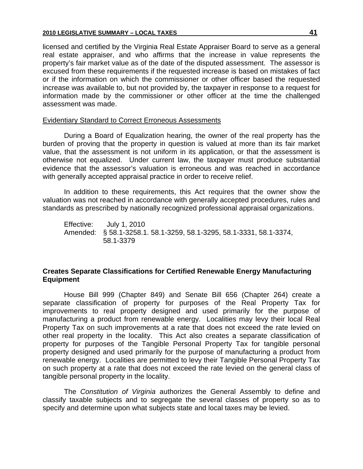<span id="page-46-0"></span>licensed and certified by the Virginia Real Estate Appraiser Board to serve as a general real estate appraiser, and who affirms that the increase in value represents the property's fair market value as of the date of the disputed assessment. The assessor is excused from these requirements if the requested increase is based on mistakes of fact or if the information on which the commissioner or other officer based the requested increase was available to, but not provided by, the taxpayer in response to a request for information made by the commissioner or other officer at the time the challenged assessment was made.

#### Evidentiary Standard to Correct Erroneous Assessments

During a Board of Equalization hearing, the owner of the real property has the burden of proving that the property in question is valued at more than its fair market value, that the assessment is not uniform in its application, or that the assessment is otherwise not equalized. Under current law, the taxpayer must produce substantial evidence that the assessor's valuation is erroneous and was reached in accordance with generally accepted appraisal practice in order to receive relief.

In addition to these requirements, this Act requires that the owner show the valuation was not reached in accordance with generally accepted procedures, rules and standards as prescribed by nationally recognized professional appraisal organizations.

Effective: July 1, 2010 Amended: § 58.1-3258.1. 58.1-3259, 58.1-3295, 58.1-3331, 58.1-3374, 58.1-3379

#### **Creates Separate Classifications for Certified Renewable Energy Manufacturing Equipment**

House Bill 999 (Chapter 849) and Senate Bill 656 (Chapter 264) create a separate classification of property for purposes of the Real Property Tax for improvements to real property designed and used primarily for the purpose of manufacturing a product from renewable energy. Localities may levy their local Real Property Tax on such improvements at a rate that does not exceed the rate levied on other real property in the locality. This Act also creates a separate classification of property for purposes of the Tangible Personal Property Tax for tangible personal property designed and used primarily for the purpose of manufacturing a product from renewable energy. Localities are permitted to levy their Tangible Personal Property Tax on such property at a rate that does not exceed the rate levied on the general class of tangible personal property in the locality.

The *Constitution of Virginia* authorizes the General Assembly to define and classify taxable subjects and to segregate the several classes of property so as to specify and determine upon what subjects state and local taxes may be levied.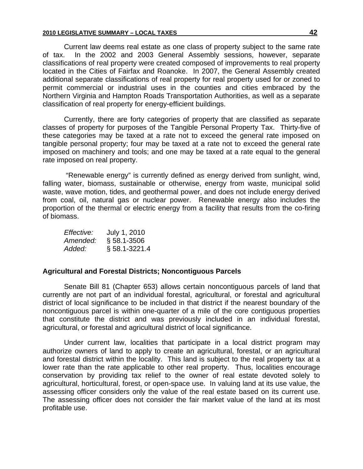#### <span id="page-47-0"></span>**2010 LEGISLATIVE SUMMARY – LOCAL TAXES 42**

Current law deems real estate as one class of property subject to the same rate of tax. In the 2002 and 2003 General Assembly sessions, however, separate classifications of real property were created composed of improvements to real property located in the Cities of Fairfax and Roanoke. In 2007, the General Assembly created additional separate classifications of real property for real property used for or zoned to permit commercial or industrial uses in the counties and cities embraced by the Northern Virginia and Hampton Roads Transportation Authorities, as well as a separate classification of real property for energy-efficient buildings.

Currently, there are forty categories of property that are classified as separate classes of property for purposes of the Tangible Personal Property Tax. Thirty-five of these categories may be taxed at a rate not to exceed the general rate imposed on tangible personal property; four may be taxed at a rate not to exceed the general rate imposed on machinery and tools; and one may be taxed at a rate equal to the general rate imposed on real property.

 "Renewable energy" is currently defined as energy derived from sunlight, wind, falling water, biomass, sustainable or otherwise, energy from waste, municipal solid waste, wave motion, tides, and geothermal power, and does not include energy derived from coal, oil, natural gas or nuclear power. Renewable energy also includes the proportion of the thermal or electric energy from a facility that results from the co-firing of biomass.

| Effective: | July 1, 2010    |
|------------|-----------------|
| Amended:   | $§ 58.1 - 3506$ |
| Added:     | § 58.1-3221.4   |

#### **Agricultural and Forestal Districts; Noncontiguous Parcels**

Senate Bill 81 (Chapter 653) allows certain noncontiguous parcels of land that currently are not part of an individual forestal, agricultural, or forestal and agricultural district of local significance to be included in that district if the nearest boundary of the noncontiguous parcel is within one-quarter of a mile of the core contiguous properties that constitute the district and was previously included in an individual forestal, agricultural, or forestal and agricultural district of local significance.

Under current law, localities that participate in a local district program may authorize owners of land to apply to create an agricultural, forestal, or an agricultural and forestal district within the locality. This land is subject to the real property tax at a lower rate than the rate applicable to other real property. Thus, localities encourage conservation by providing tax relief to the owner of real estate devoted solely to agricultural, horticultural, forest, or open-space use. In valuing land at its use value, the assessing officer considers only the value of the real estate based on its current use. The assessing officer does not consider the fair market value of the land at its most profitable use.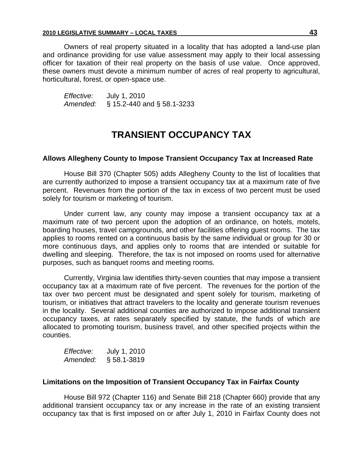#### <span id="page-48-0"></span>**2010 LEGISLATIVE SUMMARY – LOCAL TAXES 43**

Owners of real property situated in a locality that has adopted a land-use plan and ordinance providing for use value assessment may apply to their local assessing officer for taxation of their real property on the basis of use value. Once approved, these owners must devote a minimum number of acres of real property to agricultural, horticultural, forest, or open-space use.

*Effective:* July 1, 2010 *Amended:* § 15.2-440 and § 58.1-3233

## **TRANSIENT OCCUPANCY TAX**

#### **Allows Allegheny County to Impose Transient Occupancy Tax at Increased Rate**

House Bill 370 (Chapter 505) adds Allegheny County to the list of localities that are currently authorized to impose a transient occupancy tax at a maximum rate of five percent. Revenues from the portion of the tax in excess of two percent must be used solely for tourism or marketing of tourism.

Under current law, any county may impose a transient occupancy tax at a maximum rate of two percent upon the adoption of an ordinance, on hotels, motels, boarding houses, travel campgrounds, and other facilities offering guest rooms. The tax applies to rooms rented on a continuous basis by the same individual or group for 30 or more continuous days, and applies only to rooms that are intended or suitable for dwelling and sleeping. Therefore, the tax is not imposed on rooms used for alternative purposes, such as banquet rooms and meeting rooms.

Currently, Virginia law identifies thirty-seven counties that may impose a transient occupancy tax at a maximum rate of five percent. The revenues for the portion of the tax over two percent must be designated and spent solely for tourism, marketing of tourism, or initiatives that attract travelers to the locality and generate tourism revenues in the locality. Several additional counties are authorized to impose additional transient occupancy taxes, at rates separately specified by statute, the funds of which are allocated to promoting tourism, business travel, and other specified projects within the counties.

| Effective: | July 1, 2010    |
|------------|-----------------|
| Amended:   | $§ 58.1 - 3819$ |

#### **Limitations on the Imposition of Transient Occupancy Tax in Fairfax County**

House Bill 972 (Chapter 116) and Senate Bill 218 (Chapter 660) provide that any additional transient occupancy tax or any increase in the rate of an existing transient occupancy tax that is first imposed on or after July 1, 2010 in Fairfax County does not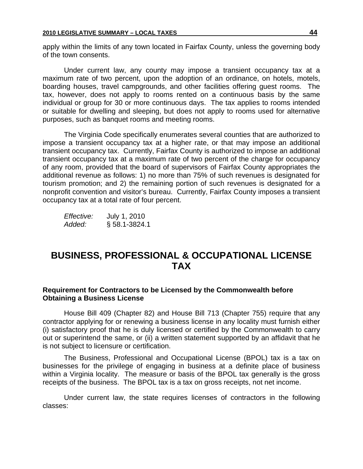<span id="page-49-0"></span>apply within the limits of any town located in Fairfax County, unless the governing body of the town consents.

Under current law, any county may impose a transient occupancy tax at a maximum rate of two percent, upon the adoption of an ordinance, on hotels, motels, boarding houses, travel campgrounds, and other facilities offering guest rooms. The tax, however, does not apply to rooms rented on a continuous basis by the same individual or group for 30 or more continuous days. The tax applies to rooms intended or suitable for dwelling and sleeping, but does not apply to rooms used for alternative purposes, such as banquet rooms and meeting rooms.

 The Virginia Code specifically enumerates several counties that are authorized to impose a transient occupancy tax at a higher rate, or that may impose an additional transient occupancy tax. Currently, Fairfax County is authorized to impose an additional transient occupancy tax at a maximum rate of two percent of the charge for occupancy of any room, provided that the board of supervisors of Fairfax County appropriates the additional revenue as follows: 1) no more than 75% of such revenues is designated for tourism promotion; and 2) the remaining portion of such revenues is designated for a nonprofit convention and visitor's bureau. Currently, Fairfax County imposes a transient occupancy tax at a total rate of four percent.

| Effective: | July 1, 2010      |
|------------|-------------------|
| Added:     | $§ 58.1 - 3824.1$ |

## **BUSINESS, PROFESSIONAL & OCCUPATIONAL LICENSE TAX**

#### **Requirement for Contractors to be Licensed by the Commonwealth before Obtaining a Business License**

House Bill 409 (Chapter 82) and House Bill 713 (Chapter 755) require that any contractor applying for or renewing a business license in any locality must furnish either (i) satisfactory proof that he is duly licensed or certified by the Commonwealth to carry out or superintend the same, or (ii) a written statement supported by an affidavit that he is not subject to licensure or certification.

The Business, Professional and Occupational License (BPOL) tax is a tax on businesses for the privilege of engaging in business at a definite place of business within a Virginia locality. The measure or basis of the BPOL tax generally is the gross receipts of the business. The BPOL tax is a tax on gross receipts, not net income.

Under current law, the state requires licenses of contractors in the following classes: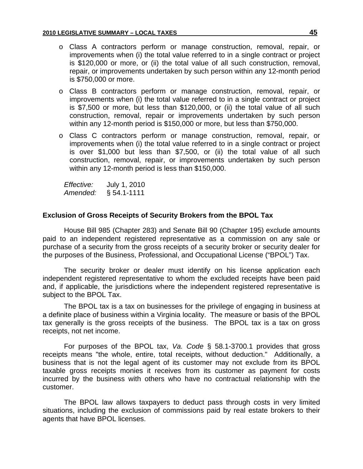- <span id="page-50-0"></span>o Class A contractors perform or manage construction, removal, repair, or improvements when (i) the total value referred to in a single contract or project is \$120,000 or more, or (ii) the total value of all such construction, removal, repair, or improvements undertaken by such person within any 12-month period is \$750,000 or more.
- o Class B contractors perform or manage construction, removal, repair, or improvements when (i) the total value referred to in a single contract or project is \$7,500 or more, but less than \$120,000, or (ii) the total value of all such construction, removal, repair or improvements undertaken by such person within any 12-month period is \$150,000 or more, but less than \$750,000.
- o Class C contractors perform or manage construction, removal, repair, or improvements when (i) the total value referred to in a single contract or project is over \$1,000 but less than \$7,500, or (ii) the total value of all such construction, removal, repair, or improvements undertaken by such person within any 12-month period is less than \$150,000.

*Effective:* July 1, 2010 *Amended:* § 54.1-1111

#### **Exclusion of Gross Receipts of Security Brokers from the BPOL Tax**

House Bill 985 (Chapter 283) and Senate Bill 90 (Chapter 195) exclude amounts paid to an independent registered representative as a commission on any sale or purchase of a security from the gross receipts of a security broker or security dealer for the purposes of the Business, Professional, and Occupational License ("BPOL") Tax.

The security broker or dealer must identify on his license application each independent registered representative to whom the excluded receipts have been paid and, if applicable, the jurisdictions where the independent registered representative is subject to the BPOL Tax.

The BPOL tax is a tax on businesses for the privilege of engaging in business at a definite place of business within a Virginia locality. The measure or basis of the BPOL tax generally is the gross receipts of the business. The BPOL tax is a tax on gross receipts, not net income.

For purposes of the BPOL tax, *Va. Code* § 58.1-3700.1 provides that gross receipts means "the whole, entire, total receipts, without deduction." Additionally, a business that is not the legal agent of its customer may not exclude from its BPOL taxable gross receipts monies it receives from its customer as payment for costs incurred by the business with others who have no contractual relationship with the customer.

The BPOL law allows taxpayers to deduct pass through costs in very limited situations, including the exclusion of commissions paid by real estate brokers to their agents that have BPOL licenses.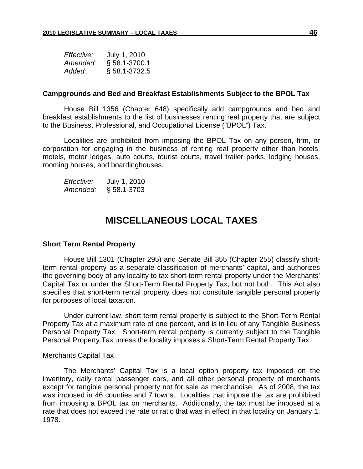<span id="page-51-0"></span>

| Effective: | July 1, 2010      |
|------------|-------------------|
| Amended:   | $§ 58.1 - 3700.1$ |
| Added:     | $§ 58.1 - 3732.5$ |

#### **Campgrounds and Bed and Breakfast Establishments Subject to the BPOL Tax**

House Bill 1356 (Chapter 648) specifically add campgrounds and bed and breakfast establishments to the list of businesses renting real property that are subject to the Business, Professional, and Occupational License ("BPOL") Tax.

Localities are prohibited from imposing the BPOL Tax on any person, firm, or corporation for engaging in the business of renting real property other than hotels, motels, motor lodges, auto courts, tourist courts, travel trailer parks, lodging houses, rooming houses, and boardinghouses.

*Effective:* July 1, 2010 *Amended:* § 58.1-3703

## **MISCELLANEOUS LOCAL TAXES**

#### **Short Term Rental Property**

House Bill 1301 (Chapter 295) and Senate Bill 355 (Chapter 255) classify shortterm rental property as a separate classification of merchants' capital, and authorizes the governing body of any locality to tax short-term rental property under the Merchants' Capital Tax or under the Short-Term Rental Property Tax, but not both. This Act also specifies that short-term rental property does not constitute tangible personal property for purposes of local taxation.

Under current law, short-term rental property is subject to the Short-Term Rental Property Tax at a maximum rate of one percent, and is in lieu of any Tangible Business Personal Property Tax. Short-term rental property is currently subject to the Tangible Personal Property Tax unless the locality imposes a Short-Term Rental Property Tax.

#### Merchants Capital Tax

The Merchants' Capital Tax is a local option property tax imposed on the inventory, daily rental passenger cars, and all other personal property of merchants except for tangible personal property not for sale as merchandise. As of 2008, the tax was imposed in 46 counties and 7 towns. Localities that impose the tax are prohibited from imposing a BPOL tax on merchants. Additionally, the tax must be imposed at a rate that does not exceed the rate or ratio that was in effect in that locality on January 1, 1978.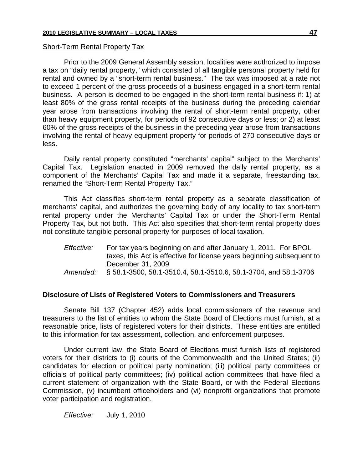#### <span id="page-52-0"></span>Short-Term Rental Property Tax

Prior to the 2009 General Assembly session, localities were authorized to impose a tax on "daily rental property," which consisted of all tangible personal property held for rental and owned by a "short-term rental business." The tax was imposed at a rate not to exceed 1 percent of the gross proceeds of a business engaged in a short-term rental business. A person is deemed to be engaged in the short-term rental business if: 1) at least 80% of the gross rental receipts of the business during the preceding calendar year arose from transactions involving the rental of short-term rental property, other than heavy equipment property, for periods of 92 consecutive days or less; or 2) at least 60% of the gross receipts of the business in the preceding year arose from transactions involving the rental of heavy equipment property for periods of 270 consecutive days or less.

Daily rental property constituted "merchants' capital" subject to the Merchants' Capital Tax. Legislation enacted in 2009 removed the daily rental property, as a component of the Merchants' Capital Tax and made it a separate, freestanding tax, renamed the "Short-Term Rental Property Tax."

This Act classifies short-term rental property as a separate classification of merchants' capital, and authorizes the governing body of any locality to tax short-term rental property under the Merchants' Capital Tax or under the Short-Term Rental Property Tax, but not both. This Act also specifies that short-term rental property does not constitute tangible personal property for purposes of local taxation.

| <i>Effective:</i> | For tax years beginning on and after January 1, 2011. For BPOL         |
|-------------------|------------------------------------------------------------------------|
|                   | taxes, this Act is effective for license years beginning subsequent to |
|                   | December 31, 2009                                                      |
| Amended:          | § 58.1-3500, 58.1-3510.4, 58.1-3510.6, 58.1-3704, and 58.1-3706        |

#### **Disclosure of Lists of Registered Voters to Commissioners and Treasurers**

Senate Bill 137 (Chapter 452) adds local commissioners of the revenue and treasurers to the list of entities to whom the State Board of Elections must furnish, at a reasonable price, lists of registered voters for their districts. These entities are entitled to this information for tax assessment, collection, and enforcement purposes.

Under current law, the State Board of Elections must furnish lists of registered voters for their districts to (i) courts of the Commonwealth and the United States; (ii) candidates for election or political party nomination; (iii) political party committees or officials of political party committees; (iv) political action committees that have filed a current statement of organization with the State Board, or with the Federal Elections Commission, (v) incumbent officeholders and (vi) nonprofit organizations that promote voter participation and registration.

*Effective:* July 1, 2010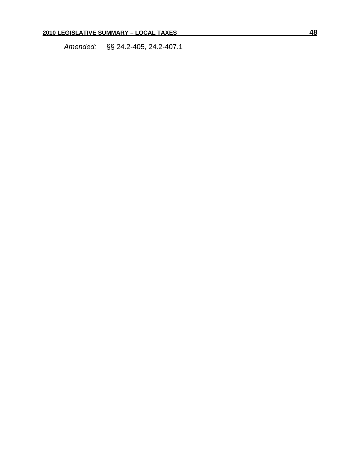*Amended:* §§ 24.2-405, 24.2-407.1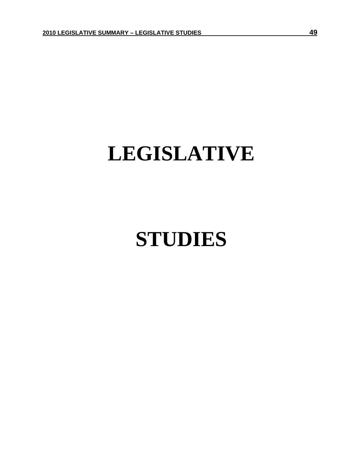## <span id="page-54-0"></span>**LEGISLATIVE**

## **STUDIES**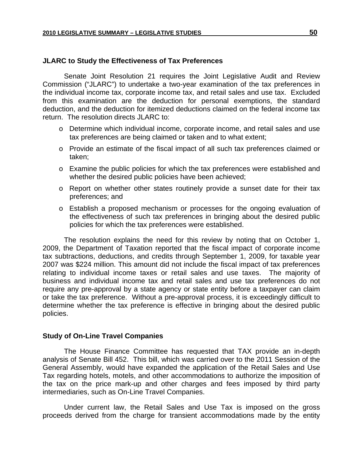#### <span id="page-55-0"></span>**JLARC to Study the Effectiveness of Tax Preferences**

Senate Joint Resolution 21 requires the Joint Legislative Audit and Review Commission ("JLARC") to undertake a two-year examination of the tax preferences in the individual income tax, corporate income tax, and retail sales and use tax. Excluded from this examination are the deduction for personal exemptions, the standard deduction, and the deduction for itemized deductions claimed on the federal income tax return. The resolution directs JLARC to:

- o Determine which individual income, corporate income, and retail sales and use tax preferences are being claimed or taken and to what extent;
- o Provide an estimate of the fiscal impact of all such tax preferences claimed or taken;
- o Examine the public policies for which the tax preferences were established and whether the desired public policies have been achieved;
- o Report on whether other states routinely provide a sunset date for their tax preferences; and
- o Establish a proposed mechanism or processes for the ongoing evaluation of the effectiveness of such tax preferences in bringing about the desired public policies for which the tax preferences were established.

The resolution explains the need for this review by noting that on October 1, 2009, the Department of Taxation reported that the fiscal impact of corporate income tax subtractions, deductions, and credits through September 1, 2009, for taxable year 2007 was \$224 million. This amount did not include the fiscal impact of tax preferences relating to individual income taxes or retail sales and use taxes. The majority of business and individual income tax and retail sales and use tax preferences do not require any pre-approval by a state agency or state entity before a taxpayer can claim or take the tax preference. Without a pre-approval process, it is exceedingly difficult to determine whether the tax preference is effective in bringing about the desired public policies.

#### **Study of On-Line Travel Companies**

The House Finance Committee has requested that TAX provide an in-depth analysis of Senate Bill 452. This bill, which was carried over to the 2011 Session of the General Assembly, would have expanded the application of the Retail Sales and Use Tax regarding hotels, motels, and other accommodations to authorize the imposition of the tax on the price mark-up and other charges and fees imposed by third party intermediaries, such as On-Line Travel Companies.

Under current law, the Retail Sales and Use Tax is imposed on the gross proceeds derived from the charge for transient accommodations made by the entity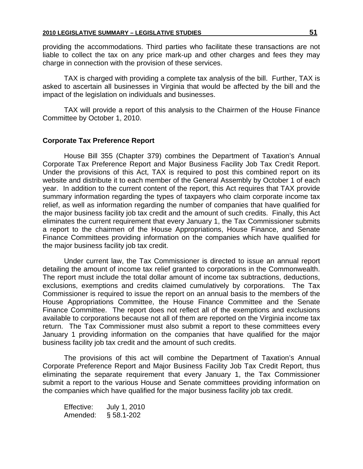<span id="page-56-0"></span>providing the accommodations. Third parties who facilitate these transactions are not liable to collect the tax on any price mark-up and other charges and fees they may charge in connection with the provision of these services.

TAX is charged with providing a complete tax analysis of the bill. Further, TAX is asked to ascertain all businesses in Virginia that would be affected by the bill and the impact of the legislation on individuals and businesses.

TAX will provide a report of this analysis to the Chairmen of the House Finance Committee by October 1, 2010.

#### **Corporate Tax Preference Report**

House Bill 355 (Chapter 379) combines the Department of Taxation's Annual Corporate Tax Preference Report and Major Business Facility Job Tax Credit Report. Under the provisions of this Act, TAX is required to post this combined report on its website and distribute it to each member of the General Assembly by October 1 of each year. In addition to the current content of the report, this Act requires that TAX provide summary information regarding the types of taxpayers who claim corporate income tax relief, as well as information regarding the number of companies that have qualified for the major business facility job tax credit and the amount of such credits. Finally, this Act eliminates the current requirement that every January 1, the Tax Commissioner submits a report to the chairmen of the House Appropriations, House Finance, and Senate Finance Committees providing information on the companies which have qualified for the major business facility job tax credit.

Under current law, the Tax Commissioner is directed to issue an annual report detailing the amount of income tax relief granted to corporations in the Commonwealth. The report must include the total dollar amount of income tax subtractions, deductions, exclusions, exemptions and credits claimed cumulatively by corporations. The Tax Commissioner is required to issue the report on an annual basis to the members of the House Appropriations Committee, the House Finance Committee and the Senate Finance Committee. The report does not reflect all of the exemptions and exclusions available to corporations because not all of them are reported on the Virginia income tax return. The Tax Commissioner must also submit a report to these committees every January 1 providing information on the companies that have qualified for the major business facility job tax credit and the amount of such credits.

The provisions of this act will combine the Department of Taxation's Annual Corporate Preference Report and Major Business Facility Job Tax Credit Report, thus eliminating the separate requirement that every January 1, the Tax Commissioner submit a report to the various House and Senate committees providing information on the companies which have qualified for the major business facility job tax credit.

Effective: July 1, 2010 Amended: § 58.1-202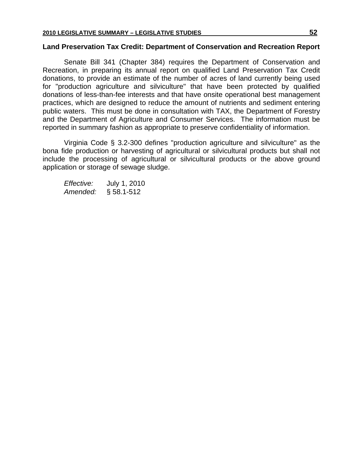#### <span id="page-57-0"></span>**Land Preservation Tax Credit: Department of Conservation and Recreation Report**

Senate Bill 341 (Chapter 384) requires the Department of Conservation and Recreation, in preparing its annual report on qualified Land Preservation Tax Credit donations, to provide an estimate of the number of acres of land currently being used for "production agriculture and silviculture" that have been protected by qualified donations of less-than-fee interests and that have onsite operational best management practices, which are designed to reduce the amount of nutrients and sediment entering public waters. This must be done in consultation with TAX, the Department of Forestry and the Department of Agriculture and Consumer Services. The information must be reported in summary fashion as appropriate to preserve confidentiality of information.

Virginia Code § 3.2-300 defines "production agriculture and silviculture" as the bona fide production or harvesting of agricultural or silvicultural products but shall not include the processing of agricultural or silvicultural products or the above ground application or storage of sewage sludge.

*Effective:* July 1, 2010 *Amended:* § 58.1-512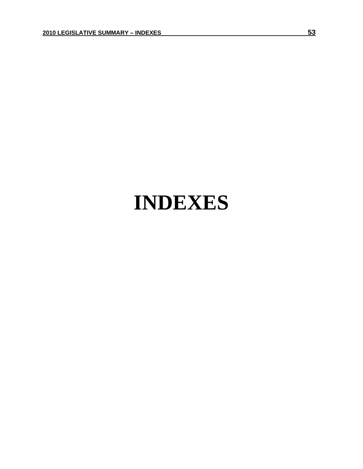## <span id="page-58-0"></span>**INDEXES**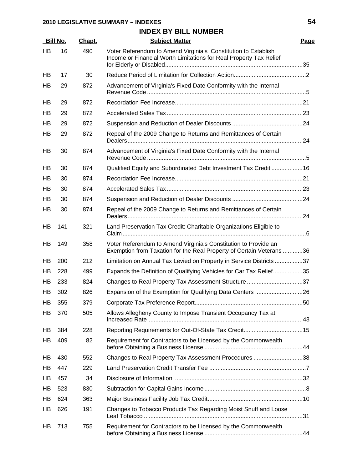|           |          |        | <b>INDEX BY BILL NUMBER</b>                                                                                                             |      |
|-----------|----------|--------|-----------------------------------------------------------------------------------------------------------------------------------------|------|
|           | Bill No. | Chapt. | <b>Subject Matter</b>                                                                                                                   | Page |
| <b>HB</b> | 16       | 490    | Voter Referendum to Amend Virginia's Constitution to Establish<br>Income or Financial Worth Limitations for Real Property Tax Relief    |      |
| HB        | 17       | 30     |                                                                                                                                         |      |
| HB        | 29       | 872    | Advancement of Virginia's Fixed Date Conformity with the Internal                                                                       |      |
| HB        | 29       | 872    |                                                                                                                                         |      |
| HB        | 29       | 872    |                                                                                                                                         |      |
| <b>HB</b> | 29       | 872    |                                                                                                                                         |      |
| HB        | 29       | 872    | Repeal of the 2009 Change to Returns and Remittances of Certain                                                                         |      |
| HB        | 30       | 874    | Advancement of Virginia's Fixed Date Conformity with the Internal                                                                       |      |
| HB        | 30       | 874    | Qualified Equity and Subordinated Debt Investment Tax Credit 16                                                                         |      |
| <b>HB</b> | 30       | 874    |                                                                                                                                         |      |
| HB        | 30       | 874    |                                                                                                                                         |      |
| HB        | 30       | 874    |                                                                                                                                         |      |
| HB        | 30       | 874    | Repeal of the 2009 Change to Returns and Remittances of Certain                                                                         |      |
| HB        | 141      | 321    | Land Preservation Tax Credit: Charitable Organizations Eligible to                                                                      |      |
| HB        | 149      | 358    | Voter Referendum to Amend Virginia's Constitution to Provide an<br>Exemption from Taxation for the Real Property of Certain Veterans 36 |      |
| HB        | 200      | 212    | Limitation on Annual Tax Levied on Property in Service Districts37                                                                      |      |
| HB        | 228      | 499    | Expands the Definition of Qualifying Vehicles for Car Tax Relief35                                                                      |      |
| HB        | 233      | 824    | Changes to Real Property Tax Assessment Structure 37                                                                                    |      |
| HB        | 302      | 826    | Expansion of the Exemption for Qualifying Data Centers 26                                                                               |      |
| HВ        | 355      | 379    |                                                                                                                                         |      |
| HВ        | 370      | 505    | Allows Allegheny County to Impose Transient Occupancy Tax at                                                                            |      |
| HВ        | 384      | 228    |                                                                                                                                         |      |
| HB        | 409      | 82     | Requirement for Contractors to be Licensed by the Commonwealth                                                                          |      |
| HB        | 430      | 552    | Changes to Real Property Tax Assessment Procedures38                                                                                    |      |
| HВ        | 447      | 229    |                                                                                                                                         |      |
| HВ        | 457      | 34     |                                                                                                                                         |      |
| HB        | 523      | 830    |                                                                                                                                         |      |
| HB        | 624      | 363    |                                                                                                                                         |      |
| HB        | 626      | 191    | Changes to Tobacco Products Tax Regarding Moist Snuff and Loose                                                                         |      |
| HB        | 713      | 755    | Requirement for Contractors to be Licensed by the Commonwealth                                                                          |      |

before Obtaining a Business License ............................................................44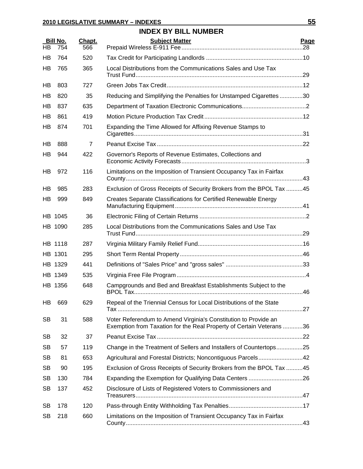### **INDEX BY BILL NUMBER Bill No. Chapt. Subject Matter Page** HB 754 566 Prepaid Wireless E-911 Fee..........................................................................28 HB 764 520 Tax Credit for Participating Landlords ...........................................................10 HB 765 365 Local Distributions from the Communications Sales and Use Tax Trust Fund......................................................................................................29 HB 803 727 Green Jobs Tax Credit...................................................................................12 HB 820 35 Reducing and Simplifying the Penalties for Unstamped Cigarettes ..............30 HB 837 635 Department of Taxation Electronic Communications.......................................2 HB 861 419 Motion Picture Production Tax Credit ............................................................12 HB 874 701 Expanding the Time Allowed for Affixing Revenue Stamps to Cigarettes.......................................................................................................31 HB 888 7 Peanut Excise Tax .........................................................................................22 HB 944 422 Governor's Reports of Revenue Estimates, Collections and Economic Activity Forecasts............................................................................3 HB 972 116 Limitations on the Imposition of Transient Occupancy Tax in Fairfax County............................................................................................................43 HB 985 283 Exclusion of Gross Receipts of Security Brokers from the BPOL Tax ..........45 HB 999 849 Creates Separate Classifications for Certified Renewable Energy Manufacturing Equipment..............................................................................41 HB 1045 36 Electronic Filing of Certain Returns .................................................................2 HB 1090 285 Local Distributions from the Communications Sales and Use Tax Trust Fund......................................................................................................29 HB 1118 287 Virginia Military Family Relief Fund................................................................16 HB 1301 295 Short Term Rental Property...........................................................................46 HB 1329 441 Definitions of "Sales Price" and "gross sales" ...............................................33 HB 1349 535 Virginia Free File Program...............................................................................4 HB 1356 648 Campgrounds and Bed and Breakfast Establishments Subject to the BPOL Tax.......................................................................................................46 HB 669 629 Repeal of the Triennial Census for Local Distributions of the State Tax .................................................................................................................27 SB 31 588 Voter Referendum to Amend Virginia's Constitution to Provide an Exemption from Taxation for the Real Property of Certain Veterans ............36 SB 32 37 Peanut Excise Tax .........................................................................................22 SB 57 119 Change in the Treatment of Sellers and Installers of Countertops................25 SB 81 653 Agricultural and Forestal Districts; Noncontiguous Parcels...........................42 SB 90 195 Exclusion of Gross Receipts of Security Brokers from the BPOL Tax ..........45 SB 130 784 Expanding the Exemption for Qualifying Data Centers .................................26

SB 137 452 Disclosure of Lists of Registered Voters to Commissioners and

SB 218 660 Limitations on the Imposition of Transient Occupancy Tax in Fairfax

SB 178 120 Pass-through Entity Withholding Tax Penalties.............................................17

Treasurers......................................................................................................47

County............................................................................................................43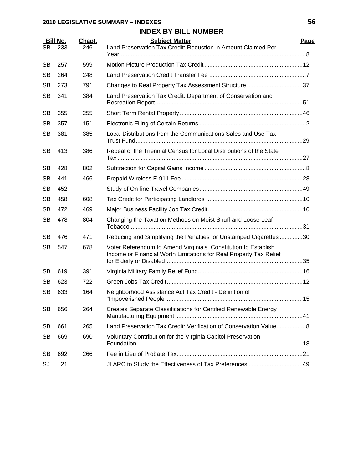#### **INDEX BY BILL NUMBER**

|           | Bill No. | Chapt. | <b>Subject Matter</b>                                                                                                                | Page |
|-----------|----------|--------|--------------------------------------------------------------------------------------------------------------------------------------|------|
| <b>SB</b> | 233      | 246    | Land Preservation Tax Credit: Reduction in Amount Claimed Per                                                                        |      |
| <b>SB</b> | 257      | 599    |                                                                                                                                      |      |
| SВ        | 264      | 248    |                                                                                                                                      |      |
| SВ        | 273      | 791    | Changes to Real Property Tax Assessment Structure37                                                                                  |      |
| <b>SB</b> | 341      | 384    | Land Preservation Tax Credit: Department of Conservation and                                                                         |      |
| <b>SB</b> | 355      | 255    |                                                                                                                                      |      |
| SВ        | 357      | 151    |                                                                                                                                      |      |
| SВ        | 381      | 385    | Local Distributions from the Communications Sales and Use Tax                                                                        |      |
| <b>SB</b> | 413      | 386    | Repeal of the Triennial Census for Local Distributions of the State                                                                  |      |
| <b>SB</b> | 428      | 802    |                                                                                                                                      |      |
| <b>SB</b> | 441      | 466    |                                                                                                                                      |      |
| SВ        | 452      | -----  |                                                                                                                                      |      |
| SВ        | 458      | 608    |                                                                                                                                      |      |
| <b>SB</b> | 472      | 469    |                                                                                                                                      |      |
| <b>SB</b> | 478      | 804    | Changing the Taxation Methods on Moist Snuff and Loose Leaf                                                                          |      |
| <b>SB</b> | 476      | 471    | Reducing and Simplifying the Penalties for Unstamped Cigarettes30                                                                    |      |
| <b>SB</b> | 547      | 678    | Voter Referendum to Amend Virginia's Constitution to Establish<br>Income or Financial Worth Limitations for Real Property Tax Relief |      |
| <b>SB</b> | 619      | 391    |                                                                                                                                      |      |
| <b>SB</b> | 623      | 722    |                                                                                                                                      |      |
| SВ        | 633      | 164    | Neighborhood Assistance Act Tax Credit - Definition of                                                                               |      |
| SВ        | 656      | 264    | Creates Separate Classifications for Certified Renewable Energy                                                                      |      |
| <b>SB</b> | 661      | 265    | Land Preservation Tax Credit: Verification of Conservation Value8                                                                    |      |
| SB        | 669      | 690    | Voluntary Contribution for the Virginia Capitol Preservation                                                                         |      |
| <b>SB</b> | 692      | 266    |                                                                                                                                      |      |
| SJ        | 21       |        | JLARC to Study the Effectiveness of Tax Preferences 49                                                                               |      |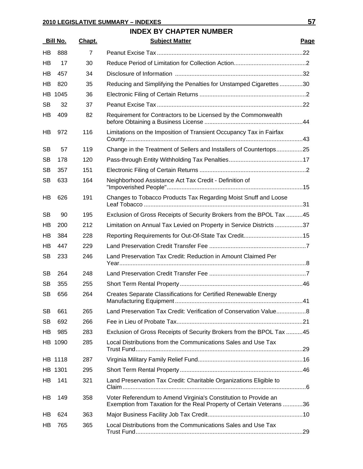#### **INDEX BY CHAPTER NUMBER**

|           | <b>Bill No.</b> | Chapt.         | <b>Subject Matter</b>                                                                                                                   |     |
|-----------|-----------------|----------------|-----------------------------------------------------------------------------------------------------------------------------------------|-----|
| HB        | 888             | $\overline{7}$ |                                                                                                                                         |     |
| HВ        | 17              | 30             |                                                                                                                                         |     |
| HВ        | 457             | 34             |                                                                                                                                         |     |
| HВ        | 820             | 35             | Reducing and Simplifying the Penalties for Unstamped Cigarettes30                                                                       |     |
|           | HB 1045         | 36             |                                                                                                                                         |     |
| SB        | 32              | 37             |                                                                                                                                         |     |
| НB        | 409             | 82             | Requirement for Contractors to be Licensed by the Commonwealth                                                                          |     |
| HВ        | 972             | 116            | Limitations on the Imposition of Transient Occupancy Tax in Fairfax                                                                     |     |
| SB        | 57              | 119            | Change in the Treatment of Sellers and Installers of Countertops25                                                                      |     |
| SB        | 178             | 120            |                                                                                                                                         |     |
| SB        | 357             | 151            |                                                                                                                                         |     |
| SB        | 633             | 164            | Neighborhood Assistance Act Tax Credit - Definition of                                                                                  |     |
| HВ        | 626             | 191            | Changes to Tobacco Products Tax Regarding Moist Snuff and Loose                                                                         |     |
| SB        | 90              | 195            | Exclusion of Gross Receipts of Security Brokers from the BPOL Tax 45                                                                    |     |
| НB        | 200             | 212            | Limitation on Annual Tax Levied on Property in Service Districts 37                                                                     |     |
| HВ        | 384             | 228            |                                                                                                                                         |     |
| HВ        | 447             | 229            |                                                                                                                                         |     |
| <b>SB</b> | 233             | 246            | Land Preservation Tax Credit: Reduction in Amount Claimed Per                                                                           |     |
| SB        | 264             | 248            |                                                                                                                                         |     |
| SB        | 355             | 255            |                                                                                                                                         |     |
| <b>SB</b> | 656             | 264            | Creates Separate Classifications for Certified Renewable Energy                                                                         | .41 |
| SB        | 661             | 265            | Land Preservation Tax Credit: Verification of Conservation Value8                                                                       |     |
| SB        | 692             | 266            |                                                                                                                                         |     |
| HВ        | 985             | 283            | Exclusion of Gross Receipts of Security Brokers from the BPOL Tax 45                                                                    |     |
|           | HB 1090         | 285            | Local Distributions from the Communications Sales and Use Tax                                                                           |     |
|           | HB 1118         | 287            |                                                                                                                                         |     |
|           | HB 1301         | 295            |                                                                                                                                         |     |
| HВ        | 141             | 321            | Land Preservation Tax Credit: Charitable Organizations Eligible to                                                                      |     |
| HВ        | 149             | 358            | Voter Referendum to Amend Virginia's Constitution to Provide an<br>Exemption from Taxation for the Real Property of Certain Veterans 36 |     |
| HВ        | 624             | 363            |                                                                                                                                         |     |
| HВ        | 765             | 365            | Local Distributions from the Communications Sales and Use Tax                                                                           |     |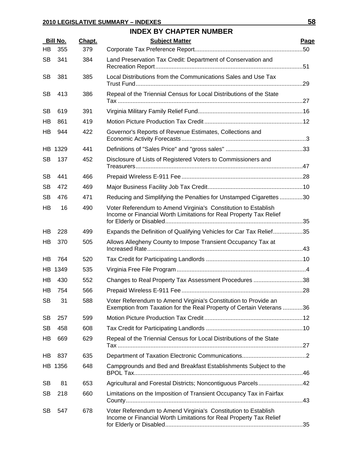### **2010 LEGISLATIVE SUMMARY – INDEXES 58 INDEX BY CHAPTER NUMBER Bill No. Chapt. Subject Matter Page** HB 355 379 Corporate Tax Preference Report..................................................................50 SB 341 384 Land Preservation Tax Credit: Department of Conservation and Recreation Report..........................................................................................51 SB 381 385 Local Distributions from the Communications Sales and Use Tax Trust Fund......................................................................................................29 SB 413 386 Repeal of the Triennial Census for Local Distributions of the State Tax .................................................................................................................27 SB 619 391 Virginia Military Family Relief Fund................................................................16 HB 861 419 Motion Picture Production Tax Credit ............................................................12 HB 944 422 Governor's Reports of Revenue Estimates, Collections and Economic Activity Forecasts............................................................................3 HB 1329 441 Definitions of "Sales Price" and "gross sales" ...............................................33 SB 137 452 Disclosure of Lists of Registered Voters to Commissioners and Treasurers......................................................................................................47 SB 441 466 Prepaid Wireless E-911 Fee..........................................................................28 SB 472 469 Major Business Facility Job Tax Credit..........................................................10 SB 476 471 Reducing and Simplifying the Penalties for Unstamped Cigarettes ..............30 HB 16 490 Voter Referendum to Amend Virginia's Constitution to Establish Income or Financial Worth Limitations for Real Property Tax Relief for Elderly or Disabled....................................................................................35 HB 228 499 Expands the Definition of Qualifying Vehicles for Car Tax Relief..................35 HB 370 505 Allows Allegheny County to Impose Transient Occupancy Tax at Increased Rate...............................................................................................43 HB 764 520 Tax Credit for Participating Landlords ...........................................................10 HB 1349 535 Virginia Free File Program...............................................................................4 HB 430 552 Changes to Real Property Tax Assessment Procedures ..............................38 HB 754 566 Prepaid Wireless E-911 Fee..........................................................................28 SB 31 588 Voter Referendum to Amend Virginia's Constitution to Provide an Exemption from Taxation for the Real Property of Certain Veterans ............36 SB 257 599 Motion Picture Production Tax Credit ............................................................12 SB 458 608 Tax Credit for Participating Landlords ...........................................................10 HB 669 629 Repeal of the Triennial Census for Local Distributions of the State Tax .................................................................................................................27

|                                                                                                                                      | 635 | 837     | HB. |
|--------------------------------------------------------------------------------------------------------------------------------------|-----|---------|-----|
| Campgrounds and Bed and Breakfast Establishments Subject to the                                                                      | 648 | HB 1356 |     |
|                                                                                                                                      | 653 | 81      | SВ  |
| Limitations on the Imposition of Transient Occupancy Tax in Fairfax                                                                  | 660 | 218     | SB. |
| Voter Referendum to Amend Virginia's Constitution to Establish<br>Income or Financial Worth Limitations for Real Property Tax Relief | 678 | 547     | SB. |
|                                                                                                                                      |     |         |     |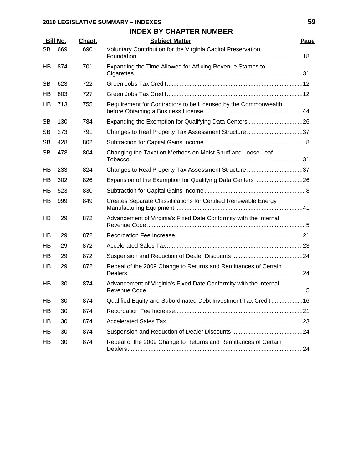|           |                 |        | <b>INDEX BY CHAPTER NUMBER</b>                                    |      |
|-----------|-----------------|--------|-------------------------------------------------------------------|------|
|           | <b>Bill No.</b> | Chapt. | <b>Subject Matter</b>                                             | Page |
| <b>SB</b> | 669             | 690    | Voluntary Contribution for the Virginia Capitol Preservation      |      |
| HB        | 874             | 701    | Expanding the Time Allowed for Affixing Revenue Stamps to         |      |
| <b>SB</b> | 623             | 722    |                                                                   |      |
| HB        | 803             | 727    |                                                                   |      |
| HB        | 713             | 755    | Requirement for Contractors to be Licensed by the Commonwealth    |      |
| <b>SB</b> | 130             | 784    |                                                                   |      |
| <b>SB</b> | 273             | 791    | Changes to Real Property Tax Assessment Structure37               |      |
| <b>SB</b> | 428             | 802    |                                                                   |      |
| <b>SB</b> | 478             | 804    | Changing the Taxation Methods on Moist Snuff and Loose Leaf       |      |
| HB        | 233             | 824    | Changes to Real Property Tax Assessment Structure37               |      |
| HB        | 302             | 826    | Expansion of the Exemption for Qualifying Data Centers 26         |      |
| <b>HB</b> | 523             | 830    |                                                                   |      |
| HB        | 999             | 849    | Creates Separate Classifications for Certified Renewable Energy   |      |
| HB        | 29              | 872    | Advancement of Virginia's Fixed Date Conformity with the Internal |      |
| HB        | 29              | 872    |                                                                   |      |
| HB        | 29              | 872    |                                                                   |      |
| HB        | 29              | 872    |                                                                   |      |
| HB        | 29              | 872    | Repeal of the 2009 Change to Returns and Remittances of Certain   |      |
| HB        | 30              | 874    | Advancement of Virginia's Fixed Date Conformity with the Internal |      |
| HB        | 30              | 874    | Qualified Equity and Subordinated Debt Investment Tax Credit 16   |      |
| HB        | 30              | 874    |                                                                   |      |
| HB        | 30              | 874    |                                                                   |      |
| HB        | 30              | 874    |                                                                   |      |
| HB        | 30              | 874    | Repeal of the 2009 Change to Returns and Remittances of Certain   |      |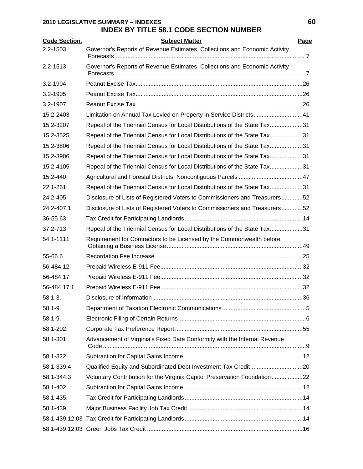#### **INDEX BY TITLE 58.1 CODE SECTION NUMBER**

| <b>Code Section.</b> | <b>Subject Matter</b>                                                      | Page |
|----------------------|----------------------------------------------------------------------------|------|
| 2.2-1503             | Governor's Reports of Revenue Estimates, Collections and Economic Activity |      |
| 2.2-1513             | Governor's Reports of Revenue Estimates, Collections and Economic Activity |      |
| 3.2-1904             |                                                                            |      |
| $3.2 - 1905$         |                                                                            |      |
| 3.2-1907             |                                                                            |      |
| 15.2-2403            | Limitation on Annual Tax Levied on Property in Service Districts41         |      |
| 15.2-3207            | Repeal of the Triennial Census for Local Distributions of the State Tax31  |      |
| 15.2-3525            | Repeal of the Triennial Census for Local Distributions of the State Tax31  |      |
| 15.2-3806            | Repeal of the Triennial Census for Local Distributions of the State Tax31  |      |
| 15.2-3906            | Repeal of the Triennial Census for Local Distributions of the State Tax31  |      |
| 15.2-4105            | Repeal of the Triennial Census for Local Distributions of the State Tax31  |      |
| 15.2-440             |                                                                            |      |
| 22.1-261             | Repeal of the Triennial Census for Local Distributions of the State Tax31  |      |
| 24.2-405             | Disclosure of Lists of Registered Voters to Commissioners and Treasurers52 |      |
| 24.2-407.1           | Disclosure of Lists of Registered Voters to Commissioners and Treasurers52 |      |
| 36-55.63             |                                                                            |      |
| 37.2-713             | Repeal of the Triennial Census for Local Distributions of the State Tax31  |      |
| 54.1-1111            | Requirement for Contractors to be Licensed by the Commonwealth before      |      |
| 55-66.6              |                                                                            |      |
| 56-484.12            |                                                                            |      |
| 56-484.17            |                                                                            |      |
| 56-484.17:1          |                                                                            |      |
| $58.1 - 3.$          |                                                                            |      |
| $58.1 - 9.$          |                                                                            |      |
| $58.1 - 9.$          |                                                                            |      |
| 58.1-202.            |                                                                            |      |
| 58.1-301.            | Advancement of Virginia's Fixed Date Conformity with the Internal Revenue  |      |
| 58.1-322.            |                                                                            |      |
| 58.1-339.4           | Qualified Equity and Subordinated Debt Investment Tax Credit20             |      |
| 58.1-344.3           | Voluntary Contribution for the Virginia Capitol Preservation Foundation22  |      |
| 58.1-402.            |                                                                            |      |
| 58.1-435.            |                                                                            |      |
| 58.1-439.            |                                                                            |      |
|                      |                                                                            |      |
|                      |                                                                            |      |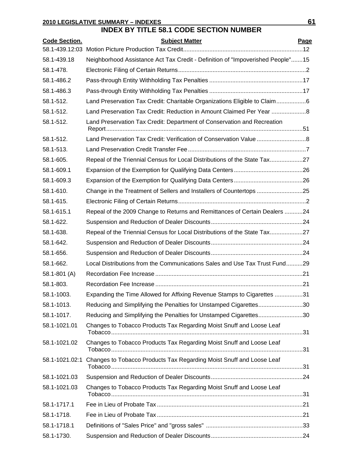## **INDEX BY TITLE 58.1 CODE SECTION NUMBER**

| <b>Code Section.</b> | <b>Subject Matter</b>                                                          | Page |
|----------------------|--------------------------------------------------------------------------------|------|
|                      |                                                                                |      |
| 58.1-439.18          | Neighborhood Assistance Act Tax Credit - Definition of "Impoverished People"15 |      |
| 58.1-478.            |                                                                                |      |
| 58.1-486.2           |                                                                                |      |
| 58.1-486.3           |                                                                                |      |
| 58.1-512.            | Land Preservation Tax Credit: Charitable Organizations Eligible to Claim6      |      |
| 58.1-512.            | Land Preservation Tax Credit: Reduction in Amount Claimed Per Year 8           |      |
| 58.1-512.            | Land Preservation Tax Credit: Department of Conservation and Recreation        |      |
| 58.1-512.            | Land Preservation Tax Credit: Verification of Conservation Value               |      |
| 58.1-513.            |                                                                                |      |
| 58.1-605.            | Repeal of the Triennial Census for Local Distributions of the State Tax27      |      |
| 58.1-609.1           |                                                                                |      |
| 58.1-609.3           |                                                                                |      |
| 58.1-610.            | Change in the Treatment of Sellers and Installers of Countertops25             |      |
| 58.1-615.            |                                                                                |      |
| 58.1-615.1           | Repeal of the 2009 Change to Returns and Remittances of Certain Dealers 24     |      |
| 58.1-622.            |                                                                                |      |
| 58.1-638.            | Repeal of the Triennial Census for Local Distributions of the State Tax27      |      |
| 58.1-642.            |                                                                                |      |
| 58.1-656.            |                                                                                |      |
| 58.1-662.            | Local Distributions from the Communications Sales and Use Tax Trust Fund29     |      |
| 58.1-801 (A)         |                                                                                |      |
| 58.1-803.            |                                                                                |      |
| 58.1-1003.           | Expanding the Time Allowed for Affixing Revenue Stamps to Cigarettes 31        |      |
| 58.1-1013.           | Reducing and Simplifying the Penalties for Unstamped Cigarettes30              |      |
| 58.1-1017.           | Reducing and Simplifying the Penalties for Unstamped Cigarettes30              |      |
| 58.1-1021.01         | Changes to Tobacco Products Tax Regarding Moist Snuff and Loose Leaf           |      |
| 58.1-1021.02         | Changes to Tobacco Products Tax Regarding Moist Snuff and Loose Leaf           |      |
| 58.1-1021.02:1       | Changes to Tobacco Products Tax Regarding Moist Snuff and Loose Leaf           |      |
| 58.1-1021.03         |                                                                                |      |
| 58.1-1021.03         | Changes to Tobacco Products Tax Regarding Moist Snuff and Loose Leaf           |      |
| 58.1-1717.1          |                                                                                |      |
| 58.1-1718.           |                                                                                |      |
| 58.1-1718.1          |                                                                                |      |
| 58.1-1730.           |                                                                                |      |